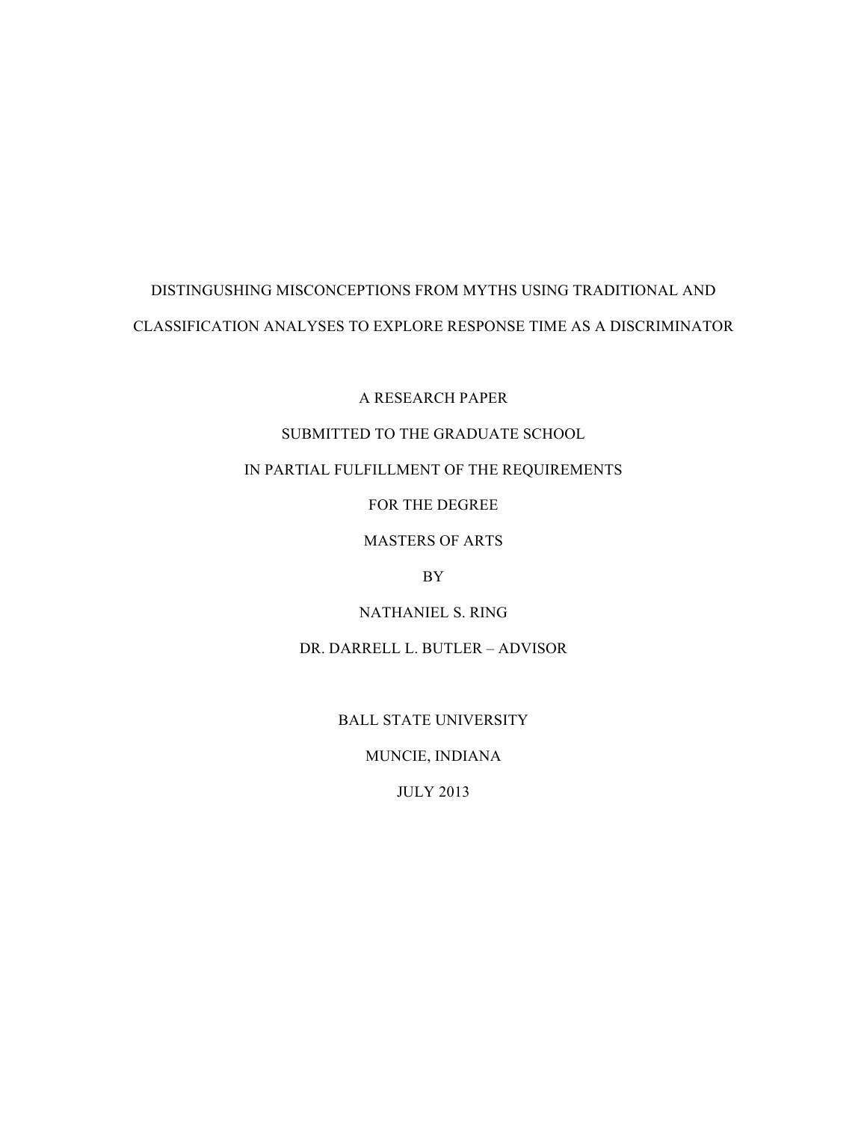# DISTINGUSHING MISCONCEPTIONS FROM MYTHS USING TRADITIONAL AND CLASSIFICATION ANALYSES TO EXPLORE RESPONSE TIME AS A DISCRIMINATOR

A RESEARCH PAPER

## SUBMITTED TO THE GRADUATE SCHOOL

## IN PARTIAL FULFILLMENT OF THE REQUIREMENTS

FOR THE DEGREE

## MASTERS OF ARTS

## BY

NATHANIEL S. RING

DR. DARRELL L. BUTLER – ADVISOR

BALL STATE UNIVERSITY

MUNCIE, INDIANA

JULY 2013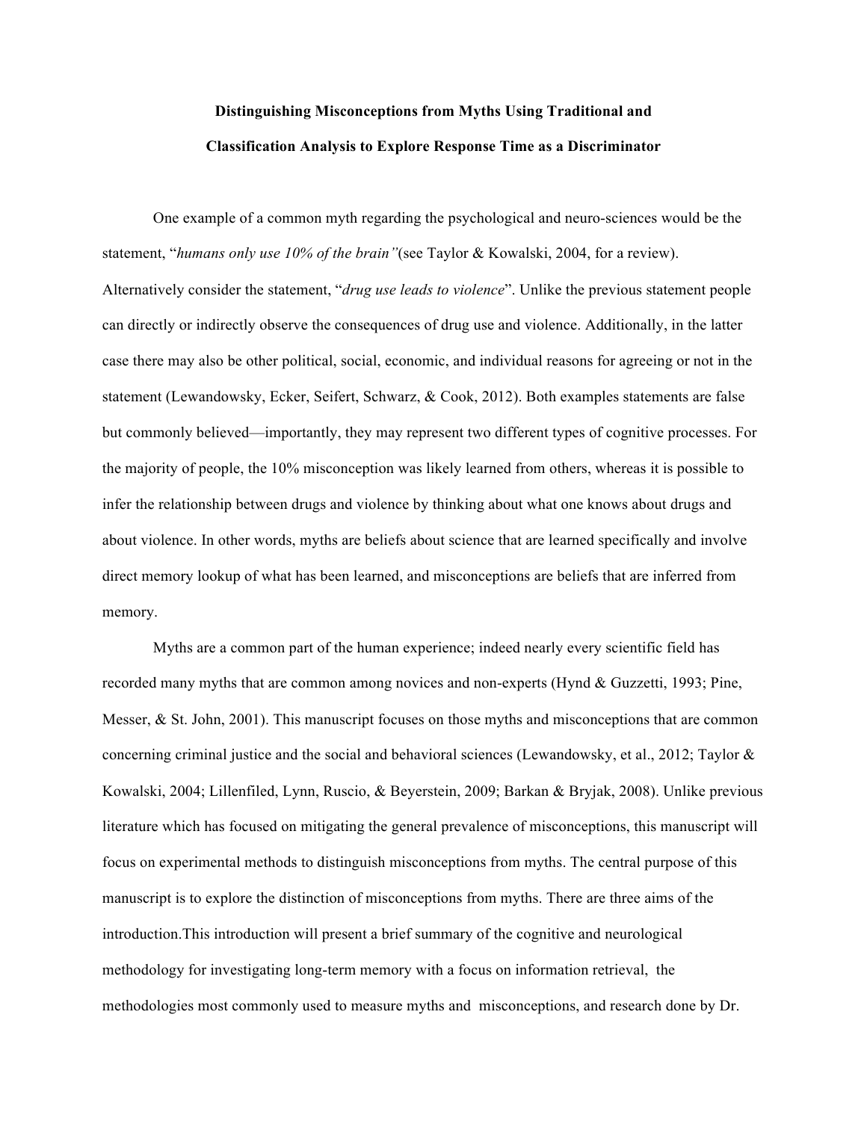# **Distinguishing Misconceptions from Myths Using Traditional and Classification Analysis to Explore Response Time as a Discriminator**

One example of a common myth regarding the psychological and neuro-sciences would be the statement, "*humans only use 10% of the brain"*(see Taylor & Kowalski, 2004, for a review). Alternatively consider the statement, "*drug use leads to violence*". Unlike the previous statement people can directly or indirectly observe the consequences of drug use and violence. Additionally, in the latter case there may also be other political, social, economic, and individual reasons for agreeing or not in the statement (Lewandowsky, Ecker, Seifert, Schwarz, & Cook, 2012). Both examples statements are false but commonly believed—importantly, they may represent two different types of cognitive processes. For the majority of people, the 10% misconception was likely learned from others, whereas it is possible to infer the relationship between drugs and violence by thinking about what one knows about drugs and about violence. In other words, myths are beliefs about science that are learned specifically and involve direct memory lookup of what has been learned, and misconceptions are beliefs that are inferred from memory.

Myths are a common part of the human experience; indeed nearly every scientific field has recorded many myths that are common among novices and non-experts (Hynd & Guzzetti, 1993; Pine, Messer,  $\&$  St. John, 2001). This manuscript focuses on those myths and misconceptions that are common concerning criminal justice and the social and behavioral sciences (Lewandowsky, et al., 2012; Taylor & Kowalski, 2004; Lillenfiled, Lynn, Ruscio, & Beyerstein, 2009; Barkan & Bryjak, 2008). Unlike previous literature which has focused on mitigating the general prevalence of misconceptions, this manuscript will focus on experimental methods to distinguish misconceptions from myths. The central purpose of this manuscript is to explore the distinction of misconceptions from myths. There are three aims of the introduction.This introduction will present a brief summary of the cognitive and neurological methodology for investigating long-term memory with a focus on information retrieval, the methodologies most commonly used to measure myths and misconceptions, and research done by Dr.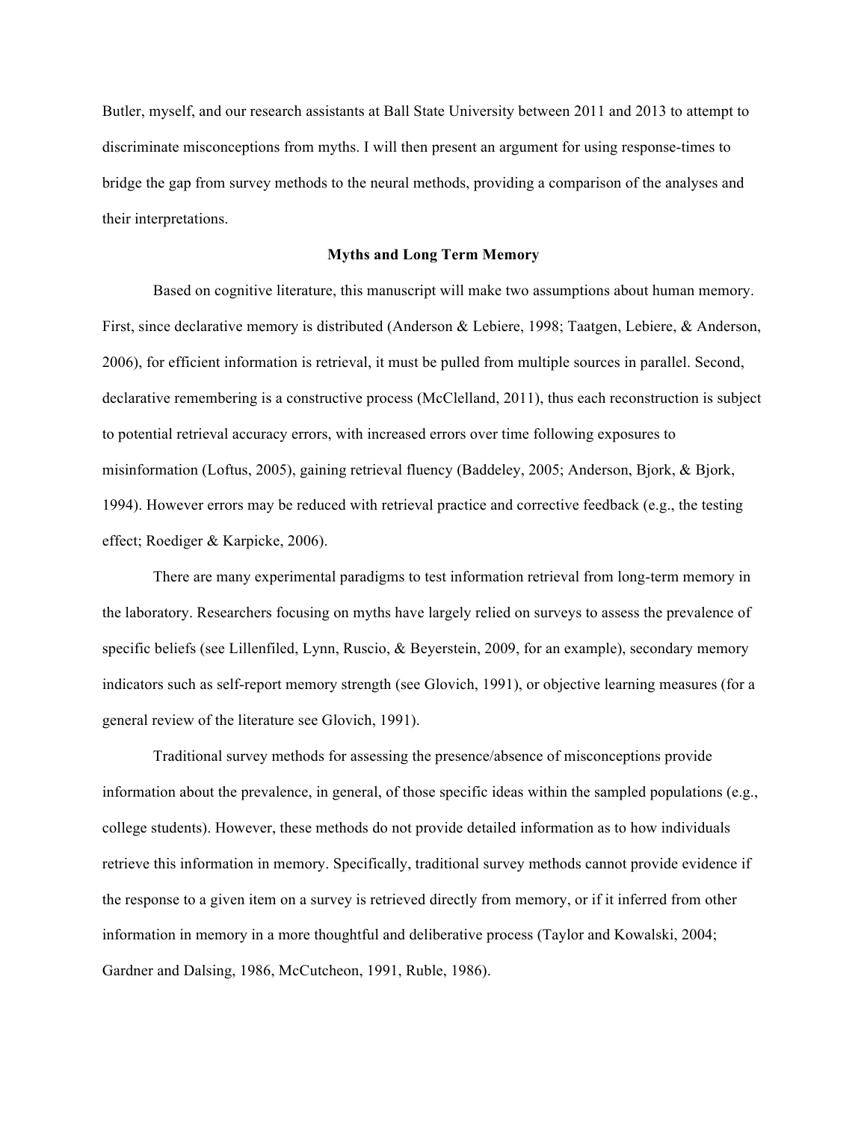Butler, myself, and our research assistants at Ball State University between 2011 and 2013 to attempt to discriminate misconceptions from myths. I will then present an argument for using response-times to bridge the gap from survey methods to the neural methods, providing a comparison of the analyses and their interpretations.

#### **Myths and Long Term Memory**

Based on cognitive literature, this manuscript will make two assumptions about human memory. First, since declarative memory is distributed (Anderson & Lebiere, 1998; Taatgen, Lebiere, & Anderson, 2006), for efficient information is retrieval, it must be pulled from multiple sources in parallel. Second, declarative remembering is a constructive process (McClelland, 2011), thus each reconstruction is subject to potential retrieval accuracy errors, with increased errors over time following exposures to misinformation (Loftus, 2005), gaining retrieval fluency (Baddeley, 2005; Anderson, Bjork, & Bjork, 1994). However errors may be reduced with retrieval practice and corrective feedback (e.g., the testing effect; Roediger & Karpicke, 2006).

There are many experimental paradigms to test information retrieval from long-term memory in the laboratory. Researchers focusing on myths have largely relied on surveys to assess the prevalence of specific beliefs (see Lillenfiled, Lynn, Ruscio, & Beyerstein, 2009, for an example), secondary memory indicators such as self-report memory strength (see Glovich, 1991), or objective learning measures (for a general review of the literature see Glovich, 1991).

Traditional survey methods for assessing the presence/absence of misconceptions provide information about the prevalence, in general, of those specific ideas within the sampled populations (e.g., college students). However, these methods do not provide detailed information as to how individuals retrieve this information in memory. Specifically, traditional survey methods cannot provide evidence if the response to a given item on a survey is retrieved directly from memory, or if it inferred from other information in memory in a more thoughtful and deliberative process (Taylor and Kowalski, 2004; Gardner and Dalsing, 1986, McCutcheon, 1991, Ruble, 1986).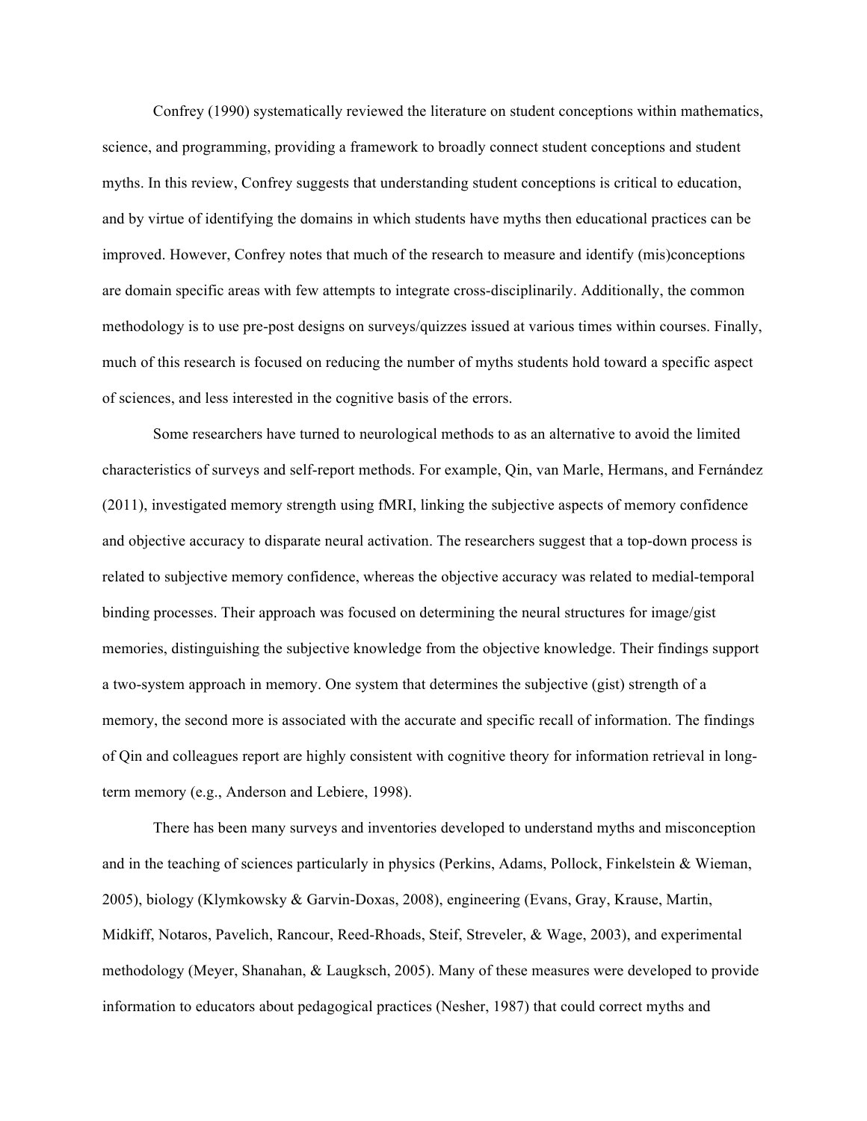Confrey (1990) systematically reviewed the literature on student conceptions within mathematics, science, and programming, providing a framework to broadly connect student conceptions and student myths. In this review, Confrey suggests that understanding student conceptions is critical to education, and by virtue of identifying the domains in which students have myths then educational practices can be improved. However, Confrey notes that much of the research to measure and identify (mis)conceptions are domain specific areas with few attempts to integrate cross-disciplinarily. Additionally, the common methodology is to use pre-post designs on surveys/quizzes issued at various times within courses. Finally, much of this research is focused on reducing the number of myths students hold toward a specific aspect of sciences, and less interested in the cognitive basis of the errors.

Some researchers have turned to neurological methods to as an alternative to avoid the limited characteristics of surveys and self-report methods. For example, Qin, van Marle, Hermans, and Fernández (2011), investigated memory strength using fMRI, linking the subjective aspects of memory confidence and objective accuracy to disparate neural activation. The researchers suggest that a top-down process is related to subjective memory confidence, whereas the objective accuracy was related to medial-temporal binding processes. Their approach was focused on determining the neural structures for image/gist memories, distinguishing the subjective knowledge from the objective knowledge. Their findings support a two-system approach in memory. One system that determines the subjective (gist) strength of a memory, the second more is associated with the accurate and specific recall of information. The findings of Qin and colleagues report are highly consistent with cognitive theory for information retrieval in longterm memory (e.g., Anderson and Lebiere, 1998).

There has been many surveys and inventories developed to understand myths and misconception and in the teaching of sciences particularly in physics (Perkins, Adams, Pollock, Finkelstein & Wieman, 2005), biology (Klymkowsky & Garvin-Doxas, 2008), engineering (Evans, Gray, Krause, Martin, Midkiff, Notaros, Pavelich, Rancour, Reed-Rhoads, Steif, Streveler, & Wage, 2003), and experimental methodology (Meyer, Shanahan, & Laugksch, 2005). Many of these measures were developed to provide information to educators about pedagogical practices (Nesher, 1987) that could correct myths and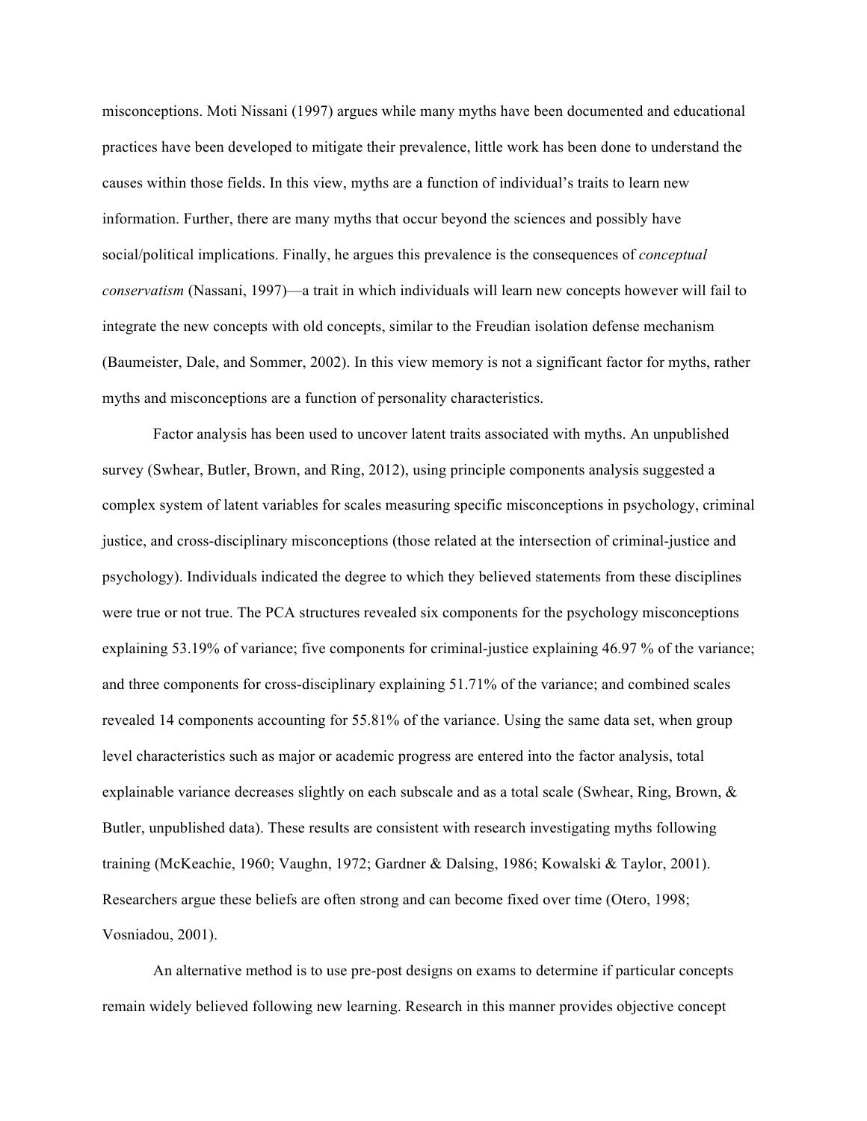misconceptions. Moti Nissani (1997) argues while many myths have been documented and educational practices have been developed to mitigate their prevalence, little work has been done to understand the causes within those fields. In this view, myths are a function of individual's traits to learn new information. Further, there are many myths that occur beyond the sciences and possibly have social/political implications. Finally, he argues this prevalence is the consequences of *conceptual conservatism* (Nassani, 1997)—a trait in which individuals will learn new concepts however will fail to integrate the new concepts with old concepts, similar to the Freudian isolation defense mechanism (Baumeister, Dale, and Sommer, 2002). In this view memory is not a significant factor for myths, rather myths and misconceptions are a function of personality characteristics.

Factor analysis has been used to uncover latent traits associated with myths. An unpublished survey (Swhear, Butler, Brown, and Ring, 2012), using principle components analysis suggested a complex system of latent variables for scales measuring specific misconceptions in psychology, criminal justice, and cross-disciplinary misconceptions (those related at the intersection of criminal-justice and psychology). Individuals indicated the degree to which they believed statements from these disciplines were true or not true. The PCA structures revealed six components for the psychology misconceptions explaining 53.19% of variance; five components for criminal-justice explaining 46.97 % of the variance; and three components for cross-disciplinary explaining 51.71% of the variance; and combined scales revealed 14 components accounting for 55.81% of the variance. Using the same data set, when group level characteristics such as major or academic progress are entered into the factor analysis, total explainable variance decreases slightly on each subscale and as a total scale (Swhear, Ring, Brown, & Butler, unpublished data). These results are consistent with research investigating myths following training (McKeachie, 1960; Vaughn, 1972; Gardner & Dalsing, 1986; Kowalski & Taylor, 2001). Researchers argue these beliefs are often strong and can become fixed over time (Otero, 1998; Vosniadou, 2001).

An alternative method is to use pre-post designs on exams to determine if particular concepts remain widely believed following new learning. Research in this manner provides objective concept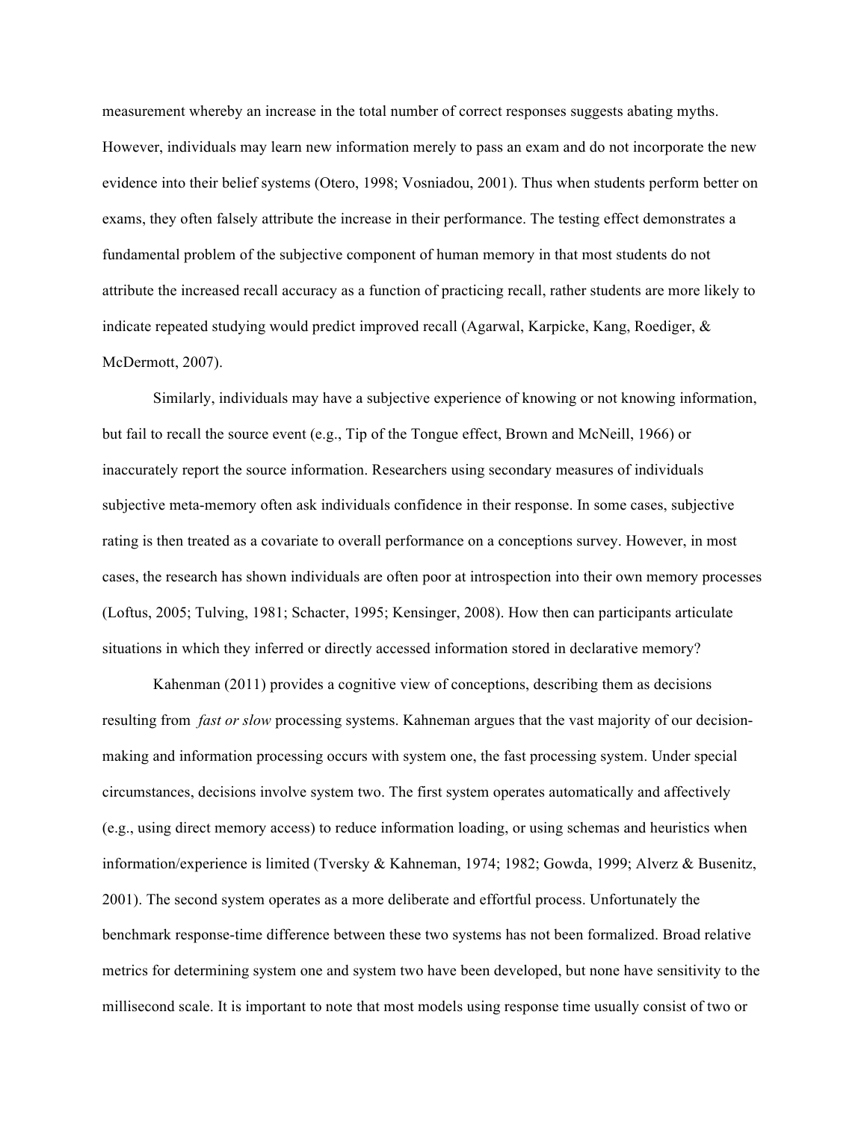measurement whereby an increase in the total number of correct responses suggests abating myths. However, individuals may learn new information merely to pass an exam and do not incorporate the new evidence into their belief systems (Otero, 1998; Vosniadou, 2001). Thus when students perform better on exams, they often falsely attribute the increase in their performance. The testing effect demonstrates a fundamental problem of the subjective component of human memory in that most students do not attribute the increased recall accuracy as a function of practicing recall, rather students are more likely to indicate repeated studying would predict improved recall (Agarwal, Karpicke, Kang, Roediger, & McDermott, 2007).

Similarly, individuals may have a subjective experience of knowing or not knowing information, but fail to recall the source event (e.g., Tip of the Tongue effect, Brown and McNeill, 1966) or inaccurately report the source information. Researchers using secondary measures of individuals subjective meta-memory often ask individuals confidence in their response. In some cases, subjective rating is then treated as a covariate to overall performance on a conceptions survey. However, in most cases, the research has shown individuals are often poor at introspection into their own memory processes (Loftus, 2005; Tulving, 1981; Schacter, 1995; Kensinger, 2008). How then can participants articulate situations in which they inferred or directly accessed information stored in declarative memory?

Kahenman (2011) provides a cognitive view of conceptions, describing them as decisions resulting from *fast or slow* processing systems. Kahneman argues that the vast majority of our decisionmaking and information processing occurs with system one, the fast processing system. Under special circumstances, decisions involve system two. The first system operates automatically and affectively (e.g., using direct memory access) to reduce information loading, or using schemas and heuristics when information/experience is limited (Tversky & Kahneman, 1974; 1982; Gowda, 1999; Alverz & Busenitz, 2001). The second system operates as a more deliberate and effortful process. Unfortunately the benchmark response-time difference between these two systems has not been formalized. Broad relative metrics for determining system one and system two have been developed, but none have sensitivity to the millisecond scale. It is important to note that most models using response time usually consist of two or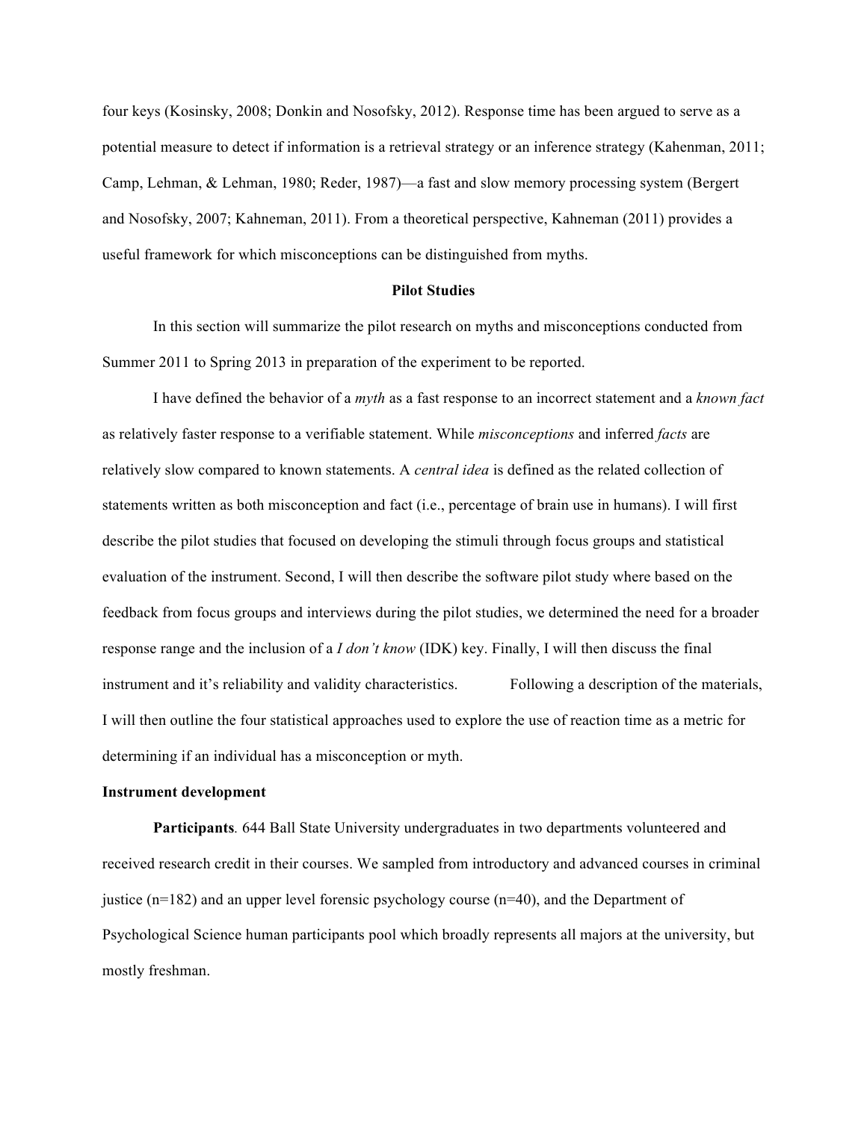four keys (Kosinsky, 2008; Donkin and Nosofsky, 2012). Response time has been argued to serve as a potential measure to detect if information is a retrieval strategy or an inference strategy (Kahenman, 2011; Camp, Lehman, & Lehman, 1980; Reder, 1987)—a fast and slow memory processing system (Bergert and Nosofsky, 2007; Kahneman, 2011). From a theoretical perspective, Kahneman (2011) provides a useful framework for which misconceptions can be distinguished from myths.

#### **Pilot Studies**

In this section will summarize the pilot research on myths and misconceptions conducted from Summer 2011 to Spring 2013 in preparation of the experiment to be reported.

I have defined the behavior of a *myth* as a fast response to an incorrect statement and a *known fact* as relatively faster response to a verifiable statement. While *misconceptions* and inferred *facts* are relatively slow compared to known statements. A *central idea* is defined as the related collection of statements written as both misconception and fact (i.e., percentage of brain use in humans). I will first describe the pilot studies that focused on developing the stimuli through focus groups and statistical evaluation of the instrument. Second, I will then describe the software pilot study where based on the feedback from focus groups and interviews during the pilot studies, we determined the need for a broader response range and the inclusion of a *I don't know* (IDK) key. Finally, I will then discuss the final instrument and it's reliability and validity characteristics. Following a description of the materials, I will then outline the four statistical approaches used to explore the use of reaction time as a metric for determining if an individual has a misconception or myth.

#### **Instrument development**

**Participants***.* 644 Ball State University undergraduates in two departments volunteered and received research credit in their courses. We sampled from introductory and advanced courses in criminal justice ( $n=182$ ) and an upper level forensic psychology course  $(n=40)$ , and the Department of Psychological Science human participants pool which broadly represents all majors at the university, but mostly freshman.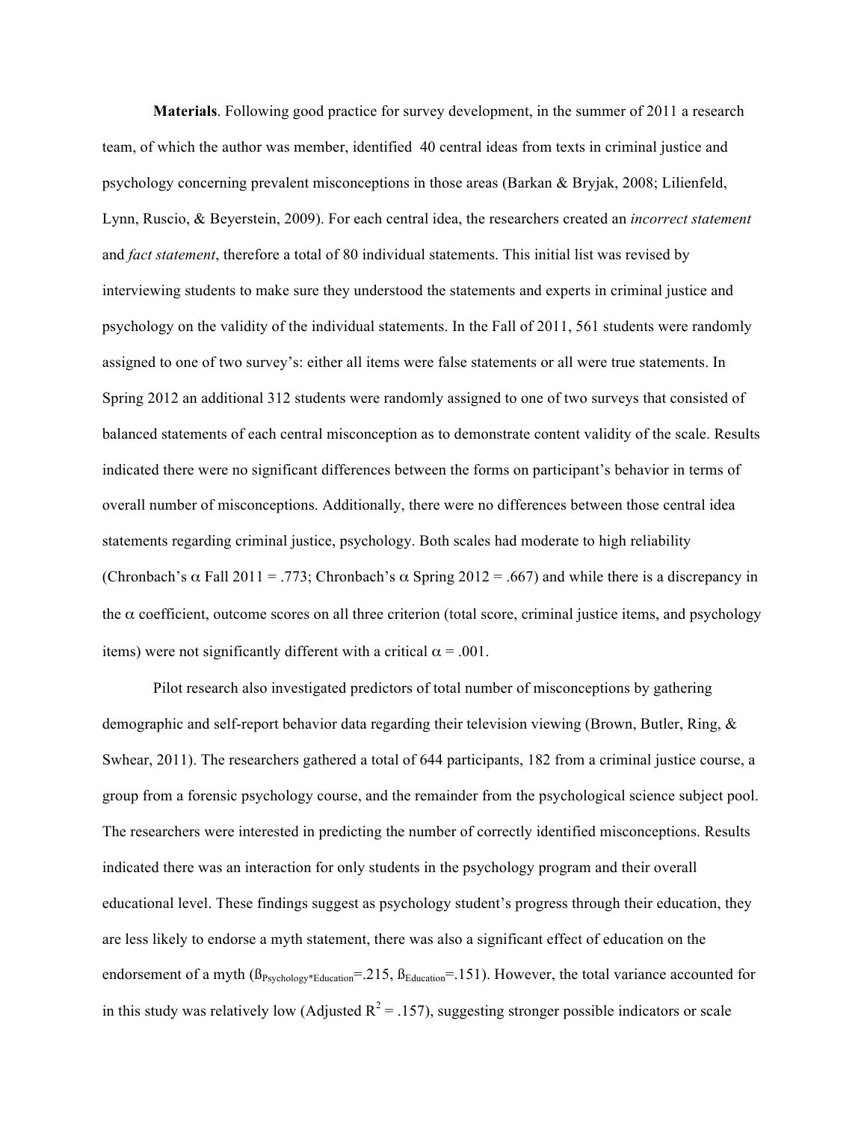**Materials**. Following good practice for survey development, in the summer of 2011 a research team, of which the author was member, identified 40 central ideas from texts in criminal justice and psychology concerning prevalent misconceptions in those areas (Barkan & Bryjak, 2008; Lilienfeld, Lynn, Ruscio, & Beyerstein, 2009). For each central idea, the researchers created an *incorrect statement* and *fact statement*, therefore a total of 80 individual statements. This initial list was revised by interviewing students to make sure they understood the statements and experts in criminal justice and psychology on the validity of the individual statements. In the Fall of 2011, 561 students were randomly assigned to one of two survey's: either all items were false statements or all were true statements. In Spring 2012 an additional 312 students were randomly assigned to one of two surveys that consisted of balanced statements of each central misconception as to demonstrate content validity of the scale. Results indicated there were no significant differences between the forms on participant's behavior in terms of overall number of misconceptions. Additionally, there were no differences between those central idea statements regarding criminal justice, psychology. Both scales had moderate to high reliability (Chronbach's  $\alpha$  Fall 2011 = .773; Chronbach's  $\alpha$  Spring 2012 = .667) and while there is a discrepancy in the  $\alpha$  coefficient, outcome scores on all three criterion (total score, criminal justice items, and psychology items) were not significantly different with a critical  $\alpha = .001$ .

Pilot research also investigated predictors of total number of misconceptions by gathering demographic and self-report behavior data regarding their television viewing (Brown, Butler, Ring, & Swhear, 2011). The researchers gathered a total of 644 participants, 182 from a criminal justice course, a group from a forensic psychology course, and the remainder from the psychological science subject pool. The researchers were interested in predicting the number of correctly identified misconceptions. Results indicated there was an interaction for only students in the psychology program and their overall educational level. These findings suggest as psychology student's progress through their education, they are less likely to endorse a myth statement, there was also a significant effect of education on the endorsement of a myth  $(\beta_{Psychology*Education} = .215, \beta_{Education} = .151)$ . However, the total variance accounted for in this study was relatively low (Adjusted  $R^2 = .157$ ), suggesting stronger possible indicators or scale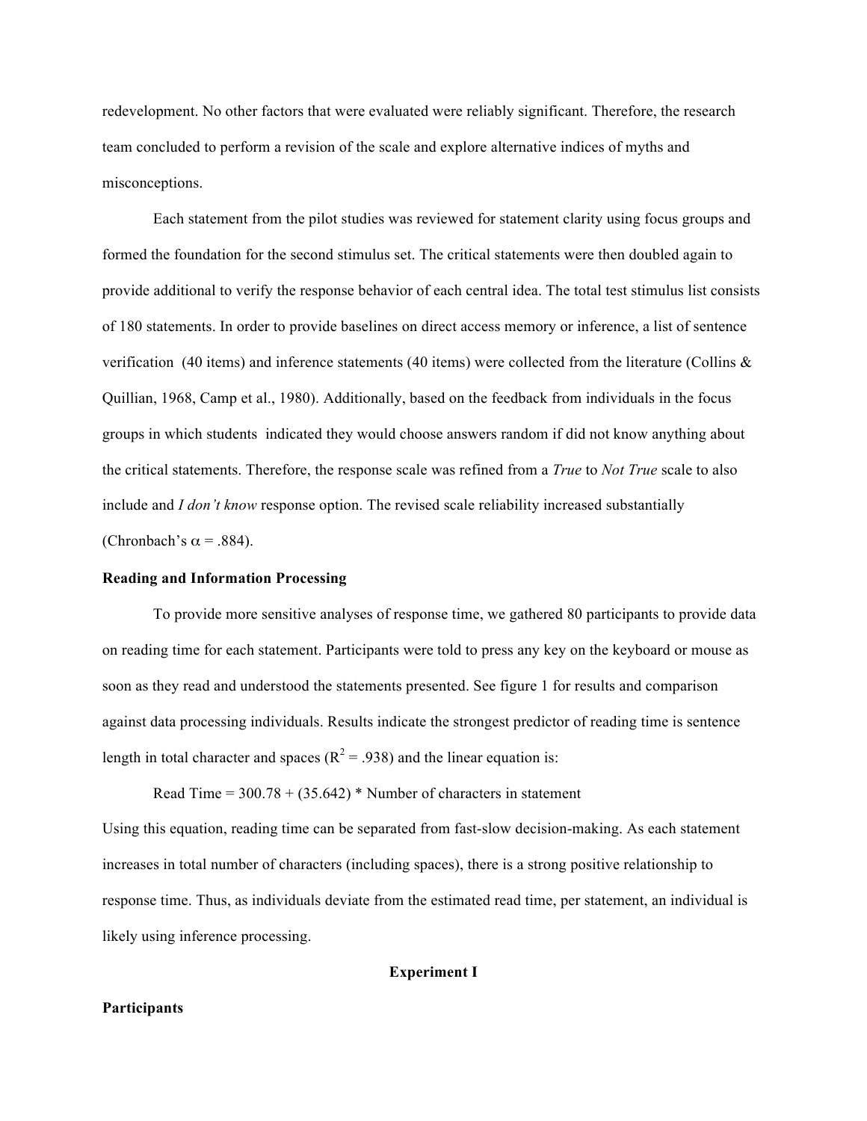redevelopment. No other factors that were evaluated were reliably significant. Therefore, the research team concluded to perform a revision of the scale and explore alternative indices of myths and misconceptions.

Each statement from the pilot studies was reviewed for statement clarity using focus groups and formed the foundation for the second stimulus set. The critical statements were then doubled again to provide additional to verify the response behavior of each central idea. The total test stimulus list consists of 180 statements. In order to provide baselines on direct access memory or inference, a list of sentence verification (40 items) and inference statements (40 items) were collected from the literature (Collins  $\&$ Quillian, 1968, Camp et al., 1980). Additionally, based on the feedback from individuals in the focus groups in which students indicated they would choose answers random if did not know anything about the critical statements. Therefore, the response scale was refined from a *True* to *Not True* scale to also include and *I don't know* response option. The revised scale reliability increased substantially (Chronbach's  $\alpha$  = .884).

#### **Reading and Information Processing**

To provide more sensitive analyses of response time, we gathered 80 participants to provide data on reading time for each statement. Participants were told to press any key on the keyboard or mouse as soon as they read and understood the statements presented. See figure 1 for results and comparison against data processing individuals. Results indicate the strongest predictor of reading time is sentence length in total character and spaces ( $R^2 = .938$ ) and the linear equation is:

Read Time =  $300.78 + (35.642)$  \* Number of characters in statement

Using this equation, reading time can be separated from fast-slow decision-making. As each statement increases in total number of characters (including spaces), there is a strong positive relationship to response time. Thus, as individuals deviate from the estimated read time, per statement, an individual is likely using inference processing.

#### **Experiment I**

#### **Participants**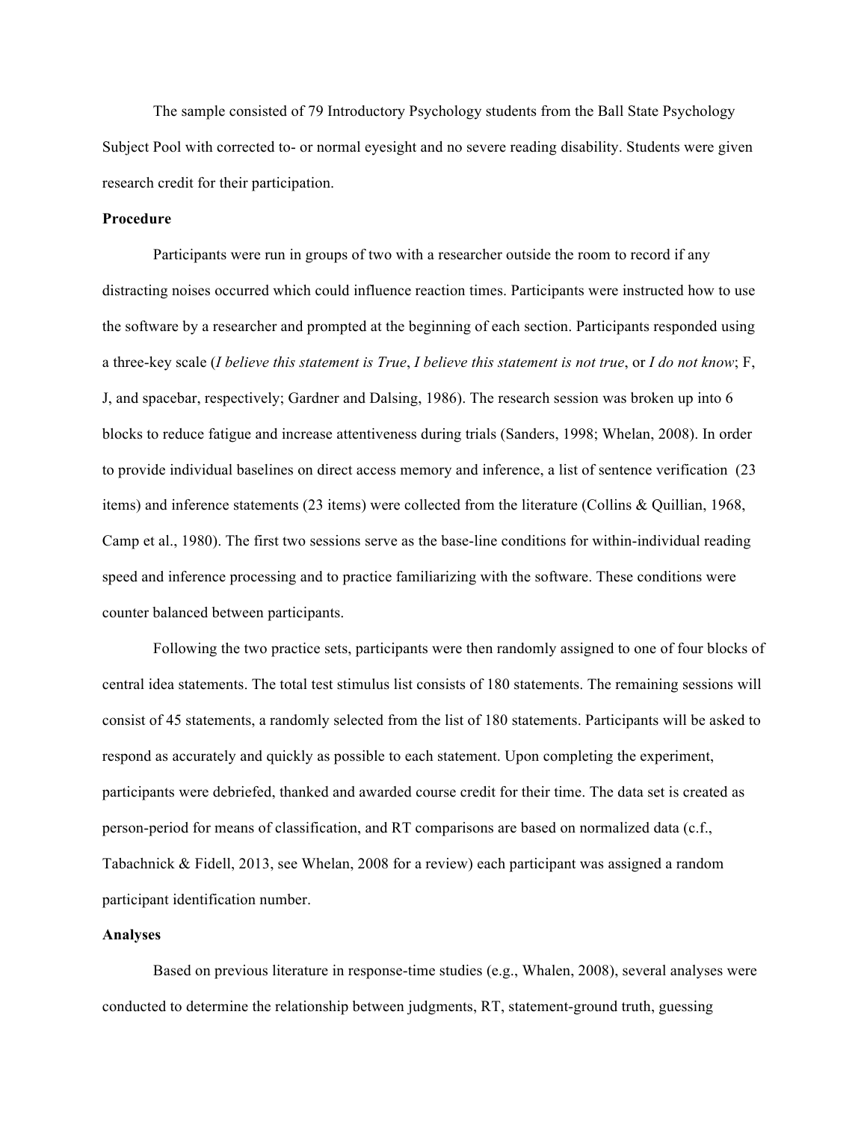The sample consisted of 79 Introductory Psychology students from the Ball State Psychology Subject Pool with corrected to- or normal eyesight and no severe reading disability. Students were given research credit for their participation.

#### **Procedure**

Participants were run in groups of two with a researcher outside the room to record if any distracting noises occurred which could influence reaction times. Participants were instructed how to use the software by a researcher and prompted at the beginning of each section. Participants responded using a three-key scale (*I believe this statement is True*, *I believe this statement is not true*, or *I do not know*; F, J, and spacebar, respectively; Gardner and Dalsing, 1986). The research session was broken up into 6 blocks to reduce fatigue and increase attentiveness during trials (Sanders, 1998; Whelan, 2008). In order to provide individual baselines on direct access memory and inference, a list of sentence verification (23 items) and inference statements (23 items) were collected from the literature (Collins & Quillian, 1968, Camp et al., 1980). The first two sessions serve as the base-line conditions for within-individual reading speed and inference processing and to practice familiarizing with the software. These conditions were counter balanced between participants.

Following the two practice sets, participants were then randomly assigned to one of four blocks of central idea statements. The total test stimulus list consists of 180 statements. The remaining sessions will consist of 45 statements, a randomly selected from the list of 180 statements. Participants will be asked to respond as accurately and quickly as possible to each statement. Upon completing the experiment, participants were debriefed, thanked and awarded course credit for their time. The data set is created as person-period for means of classification, and RT comparisons are based on normalized data (c.f., Tabachnick & Fidell, 2013, see Whelan, 2008 for a review) each participant was assigned a random participant identification number.

#### **Analyses**

Based on previous literature in response-time studies (e.g., Whalen, 2008), several analyses were conducted to determine the relationship between judgments, RT, statement-ground truth, guessing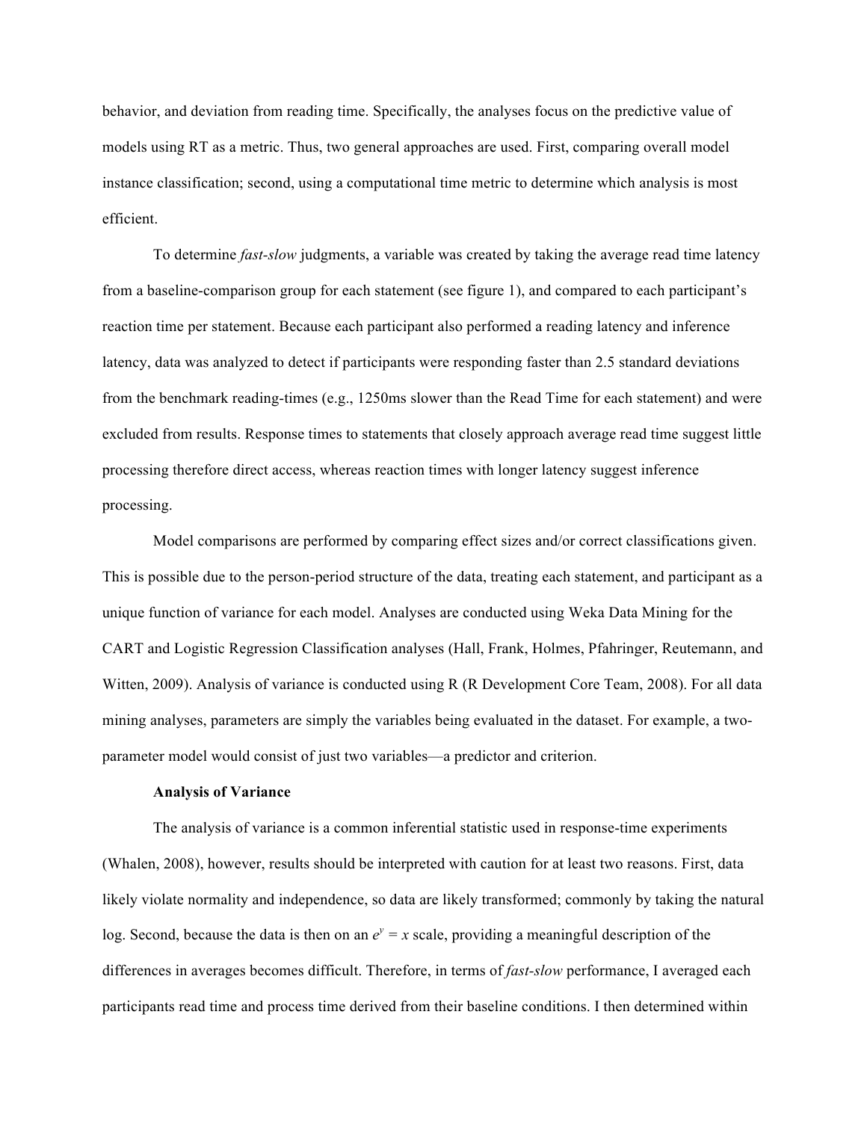behavior, and deviation from reading time. Specifically, the analyses focus on the predictive value of models using RT as a metric. Thus, two general approaches are used. First, comparing overall model instance classification; second, using a computational time metric to determine which analysis is most efficient.

To determine *fast-slow* judgments, a variable was created by taking the average read time latency from a baseline-comparison group for each statement (see figure 1), and compared to each participant's reaction time per statement. Because each participant also performed a reading latency and inference latency, data was analyzed to detect if participants were responding faster than 2.5 standard deviations from the benchmark reading-times (e.g., 1250ms slower than the Read Time for each statement) and were excluded from results. Response times to statements that closely approach average read time suggest little processing therefore direct access, whereas reaction times with longer latency suggest inference processing.

Model comparisons are performed by comparing effect sizes and/or correct classifications given. This is possible due to the person-period structure of the data, treating each statement, and participant as a unique function of variance for each model. Analyses are conducted using Weka Data Mining for the CART and Logistic Regression Classification analyses (Hall, Frank, Holmes, Pfahringer, Reutemann, and Witten, 2009). Analysis of variance is conducted using R (R Development Core Team, 2008). For all data mining analyses, parameters are simply the variables being evaluated in the dataset. For example, a twoparameter model would consist of just two variables—a predictor and criterion.

#### **Analysis of Variance**

The analysis of variance is a common inferential statistic used in response-time experiments (Whalen, 2008), however, results should be interpreted with caution for at least two reasons. First, data likely violate normality and independence, so data are likely transformed; commonly by taking the natural log. Second, because the data is then on an  $e^y = x$  scale, providing a meaningful description of the differences in averages becomes difficult. Therefore, in terms of *fast-slow* performance, I averaged each participants read time and process time derived from their baseline conditions. I then determined within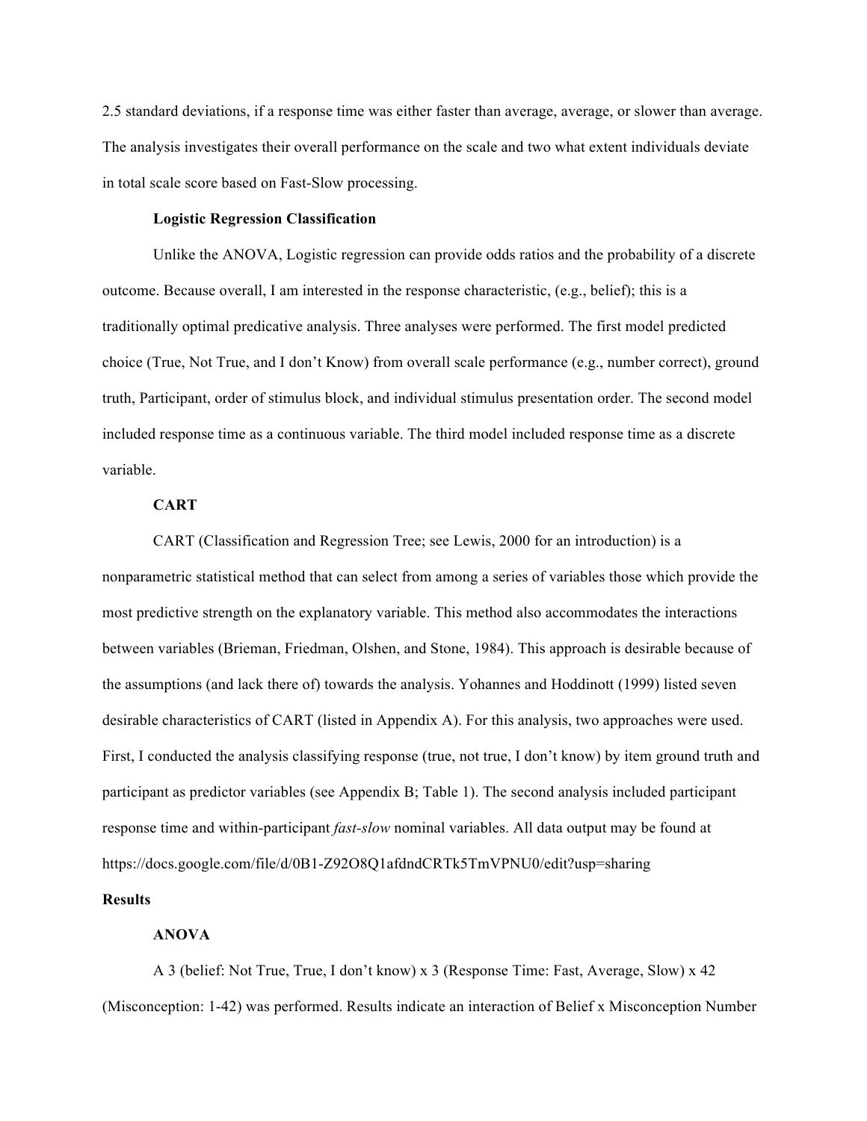2.5 standard deviations, if a response time was either faster than average, average, or slower than average. The analysis investigates their overall performance on the scale and two what extent individuals deviate in total scale score based on Fast-Slow processing.

#### **Logistic Regression Classification**

Unlike the ANOVA, Logistic regression can provide odds ratios and the probability of a discrete outcome. Because overall, I am interested in the response characteristic, (e.g., belief); this is a traditionally optimal predicative analysis. Three analyses were performed. The first model predicted choice (True, Not True, and I don't Know) from overall scale performance (e.g., number correct), ground truth, Participant, order of stimulus block, and individual stimulus presentation order. The second model included response time as a continuous variable. The third model included response time as a discrete variable.

#### **CART**

CART (Classification and Regression Tree; see Lewis, 2000 for an introduction) is a nonparametric statistical method that can select from among a series of variables those which provide the most predictive strength on the explanatory variable. This method also accommodates the interactions between variables (Brieman, Friedman, Olshen, and Stone, 1984). This approach is desirable because of the assumptions (and lack there of) towards the analysis. Yohannes and Hoddinott (1999) listed seven desirable characteristics of CART (listed in Appendix A). For this analysis, two approaches were used. First, I conducted the analysis classifying response (true, not true, I don't know) by item ground truth and participant as predictor variables (see Appendix B; Table 1). The second analysis included participant response time and within-participant *fast-slow* nominal variables. All data output may be found at https://docs.google.com/file/d/0B1-Z92O8Q1afdndCRTk5TmVPNU0/edit?usp=sharing

# **Results**

### **ANOVA**

A 3 (belief: Not True, True, I don't know) x 3 (Response Time: Fast, Average, Slow) x 42 (Misconception: 1-42) was performed. Results indicate an interaction of Belief x Misconception Number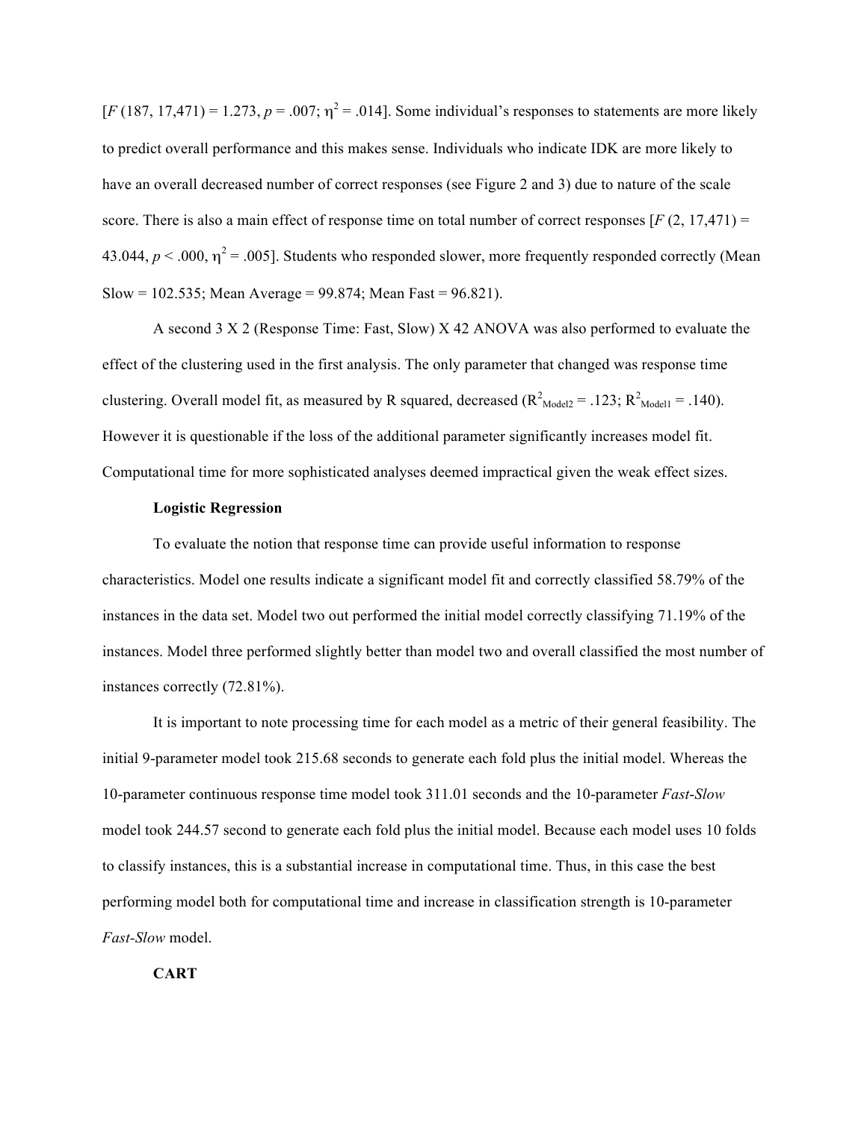$[F(187, 17,471) = 1.273, p = .007; \eta^2 = .014]$ . Some individual's responses to statements are more likely to predict overall performance and this makes sense. Individuals who indicate IDK are more likely to have an overall decreased number of correct responses (see Figure 2 and 3) due to nature of the scale score. There is also a main effect of response time on total number of correct responses  $[F(2, 17, 471) =$ 43.044,  $p < .000$ ,  $\eta^2 = .005$ ]. Students who responded slower, more frequently responded correctly (Mean Slow = 102.535; Mean Average =  $99.874$ ; Mean Fast =  $96.821$ ).

A second 3 X 2 (Response Time: Fast, Slow) X 42 ANOVA was also performed to evaluate the effect of the clustering used in the first analysis. The only parameter that changed was response time clustering. Overall model fit, as measured by R squared, decreased  $(R^{2}_{\text{Model2}} = .123; R^{2}_{\text{Model1}} = .140)$ . However it is questionable if the loss of the additional parameter significantly increases model fit. Computational time for more sophisticated analyses deemed impractical given the weak effect sizes.

#### **Logistic Regression**

To evaluate the notion that response time can provide useful information to response characteristics. Model one results indicate a significant model fit and correctly classified 58.79% of the instances in the data set. Model two out performed the initial model correctly classifying 71.19% of the instances. Model three performed slightly better than model two and overall classified the most number of instances correctly (72.81%).

It is important to note processing time for each model as a metric of their general feasibility. The initial 9-parameter model took 215.68 seconds to generate each fold plus the initial model. Whereas the 10-parameter continuous response time model took 311.01 seconds and the 10-parameter *Fast*-*Slow* model took 244.57 second to generate each fold plus the initial model. Because each model uses 10 folds to classify instances, this is a substantial increase in computational time. Thus, in this case the best performing model both for computational time and increase in classification strength is 10-parameter *Fast-Slow* model.

**CART**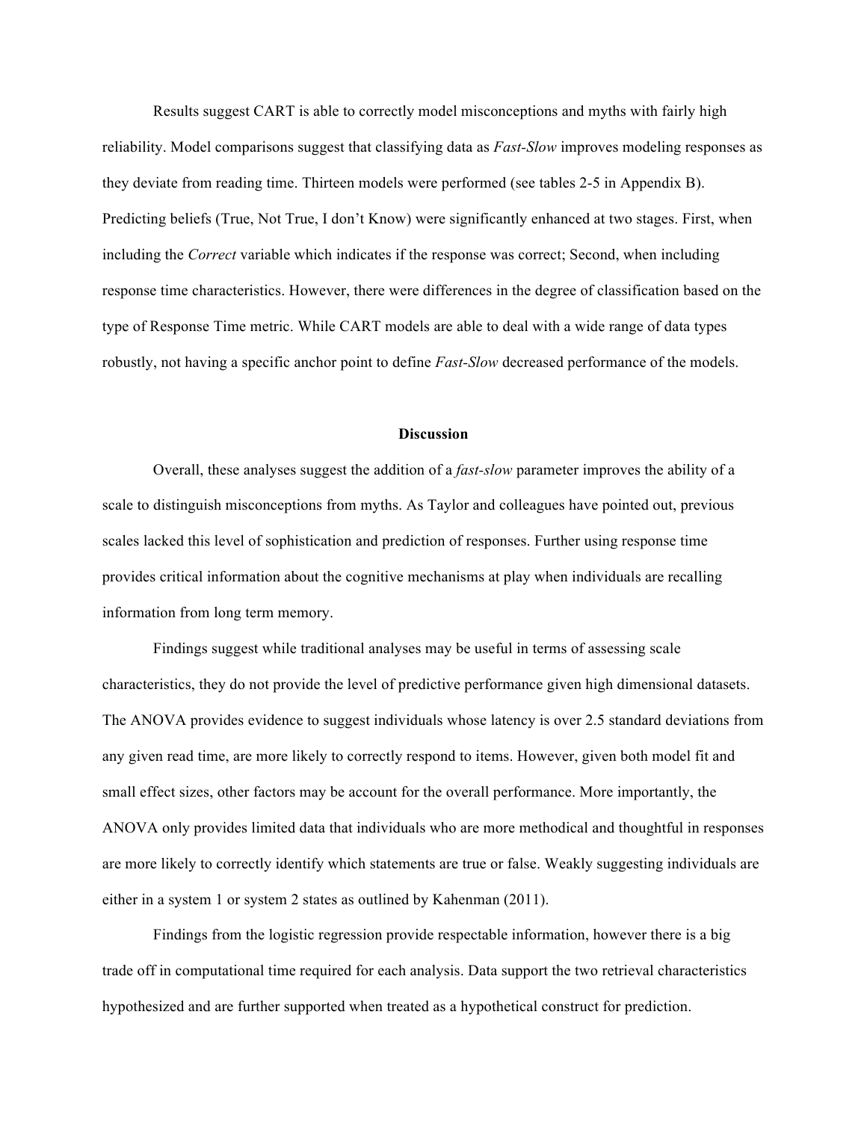Results suggest CART is able to correctly model misconceptions and myths with fairly high reliability. Model comparisons suggest that classifying data as *Fast-Slow* improves modeling responses as they deviate from reading time. Thirteen models were performed (see tables 2-5 in Appendix B). Predicting beliefs (True, Not True, I don't Know) were significantly enhanced at two stages. First, when including the *Correct* variable which indicates if the response was correct; Second, when including response time characteristics. However, there were differences in the degree of classification based on the type of Response Time metric. While CART models are able to deal with a wide range of data types robustly, not having a specific anchor point to define *Fast-Slow* decreased performance of the models.

#### **Discussion**

Overall, these analyses suggest the addition of a *fast-slow* parameter improves the ability of a scale to distinguish misconceptions from myths. As Taylor and colleagues have pointed out, previous scales lacked this level of sophistication and prediction of responses. Further using response time provides critical information about the cognitive mechanisms at play when individuals are recalling information from long term memory.

Findings suggest while traditional analyses may be useful in terms of assessing scale characteristics, they do not provide the level of predictive performance given high dimensional datasets. The ANOVA provides evidence to suggest individuals whose latency is over 2.5 standard deviations from any given read time, are more likely to correctly respond to items. However, given both model fit and small effect sizes, other factors may be account for the overall performance. More importantly, the ANOVA only provides limited data that individuals who are more methodical and thoughtful in responses are more likely to correctly identify which statements are true or false. Weakly suggesting individuals are either in a system 1 or system 2 states as outlined by Kahenman (2011).

Findings from the logistic regression provide respectable information, however there is a big trade off in computational time required for each analysis. Data support the two retrieval characteristics hypothesized and are further supported when treated as a hypothetical construct for prediction.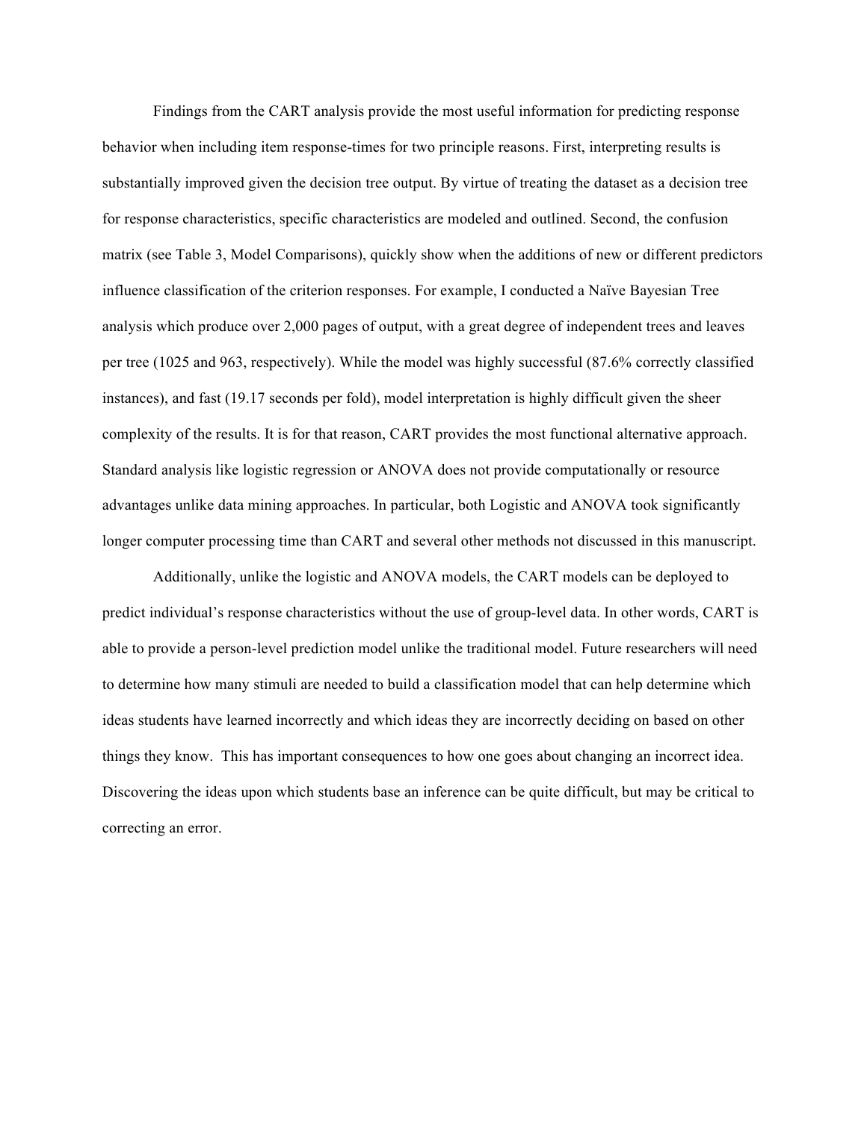Findings from the CART analysis provide the most useful information for predicting response behavior when including item response-times for two principle reasons. First, interpreting results is substantially improved given the decision tree output. By virtue of treating the dataset as a decision tree for response characteristics, specific characteristics are modeled and outlined. Second, the confusion matrix (see Table 3, Model Comparisons), quickly show when the additions of new or different predictors influence classification of the criterion responses. For example, I conducted a Naïve Bayesian Tree analysis which produce over 2,000 pages of output, with a great degree of independent trees and leaves per tree (1025 and 963, respectively). While the model was highly successful (87.6% correctly classified instances), and fast (19.17 seconds per fold), model interpretation is highly difficult given the sheer complexity of the results. It is for that reason, CART provides the most functional alternative approach. Standard analysis like logistic regression or ANOVA does not provide computationally or resource advantages unlike data mining approaches. In particular, both Logistic and ANOVA took significantly longer computer processing time than CART and several other methods not discussed in this manuscript.

Additionally, unlike the logistic and ANOVA models, the CART models can be deployed to predict individual's response characteristics without the use of group-level data. In other words, CART is able to provide a person-level prediction model unlike the traditional model. Future researchers will need to determine how many stimuli are needed to build a classification model that can help determine which ideas students have learned incorrectly and which ideas they are incorrectly deciding on based on other things they know. This has important consequences to how one goes about changing an incorrect idea. Discovering the ideas upon which students base an inference can be quite difficult, but may be critical to correcting an error.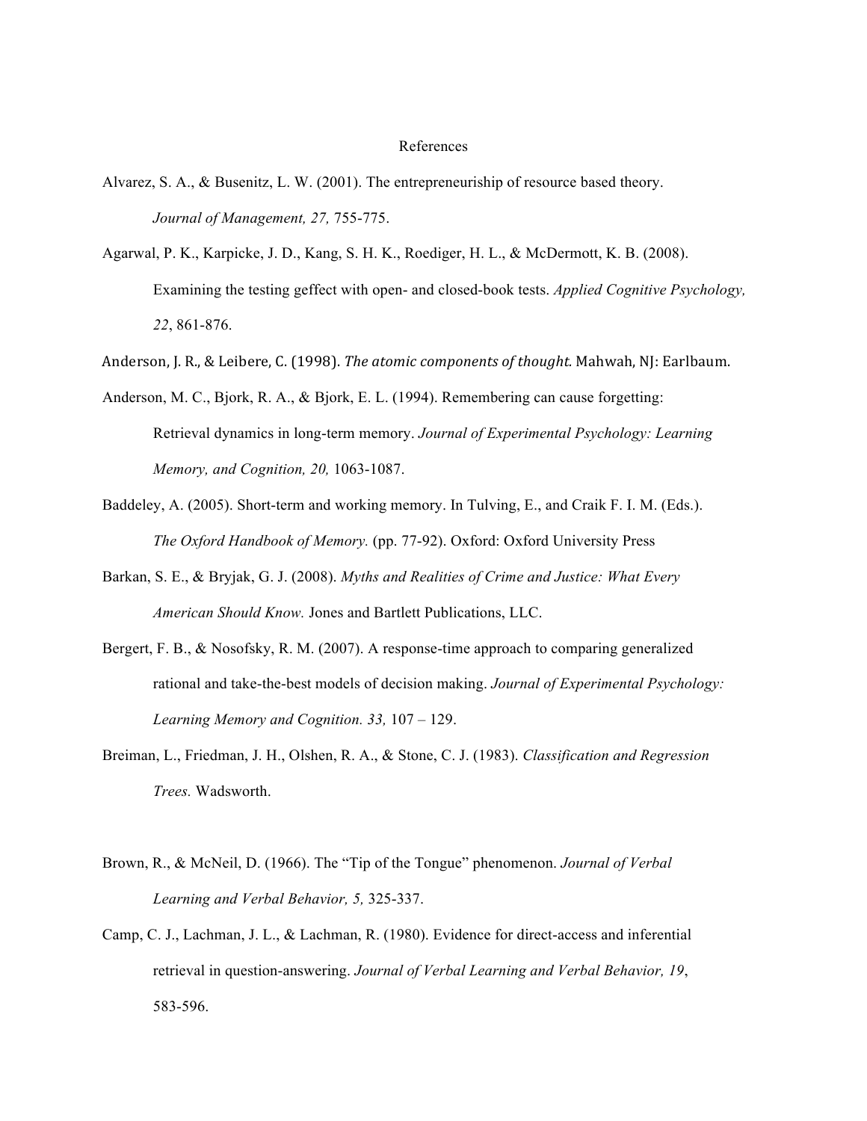#### References

- Alvarez, S. A., & Busenitz, L. W. (2001). The entrepreneuriship of resource based theory. *Journal of Management, 27,* 755-775.
- Agarwal, P. K., Karpicke, J. D., Kang, S. H. K., Roediger, H. L., & McDermott, K. B. (2008). Examining the testing geffect with open- and closed-book tests. *Applied Cognitive Psychology, 22*, 861-876.
- Anderson, J. R., & Leibere, C. (1998). *The atomic components of thought.* Mahwah, NJ: Earlbaum.
- Anderson, M. C., Bjork, R. A., & Bjork, E. L. (1994). Remembering can cause forgetting: Retrieval dynamics in long-term memory. *Journal of Experimental Psychology: Learning Memory, and Cognition, 20,* 1063-1087.
- Baddeley, A. (2005). Short-term and working memory. In Tulving, E., and Craik F. I. M. (Eds.). *The Oxford Handbook of Memory.* (pp. 77-92). Oxford: Oxford University Press
- Barkan, S. E., & Bryjak, G. J. (2008). *Myths and Realities of Crime and Justice: What Every American Should Know.* Jones and Bartlett Publications, LLC.
- Bergert, F. B., & Nosofsky, R. M. (2007). A response-time approach to comparing generalized rational and take-the-best models of decision making. *Journal of Experimental Psychology: Learning Memory and Cognition. 33,* 107 – 129.
- Breiman, L., Friedman, J. H., Olshen, R. A., & Stone, C. J. (1983). *Classification and Regression Trees.* Wadsworth.
- Brown, R., & McNeil, D. (1966). The "Tip of the Tongue" phenomenon. *Journal of Verbal Learning and Verbal Behavior, 5,* 325-337.
- Camp, C. J., Lachman, J. L., & Lachman, R. (1980). Evidence for direct-access and inferential retrieval in question-answering. *Journal of Verbal Learning and Verbal Behavior, 19*, 583-596.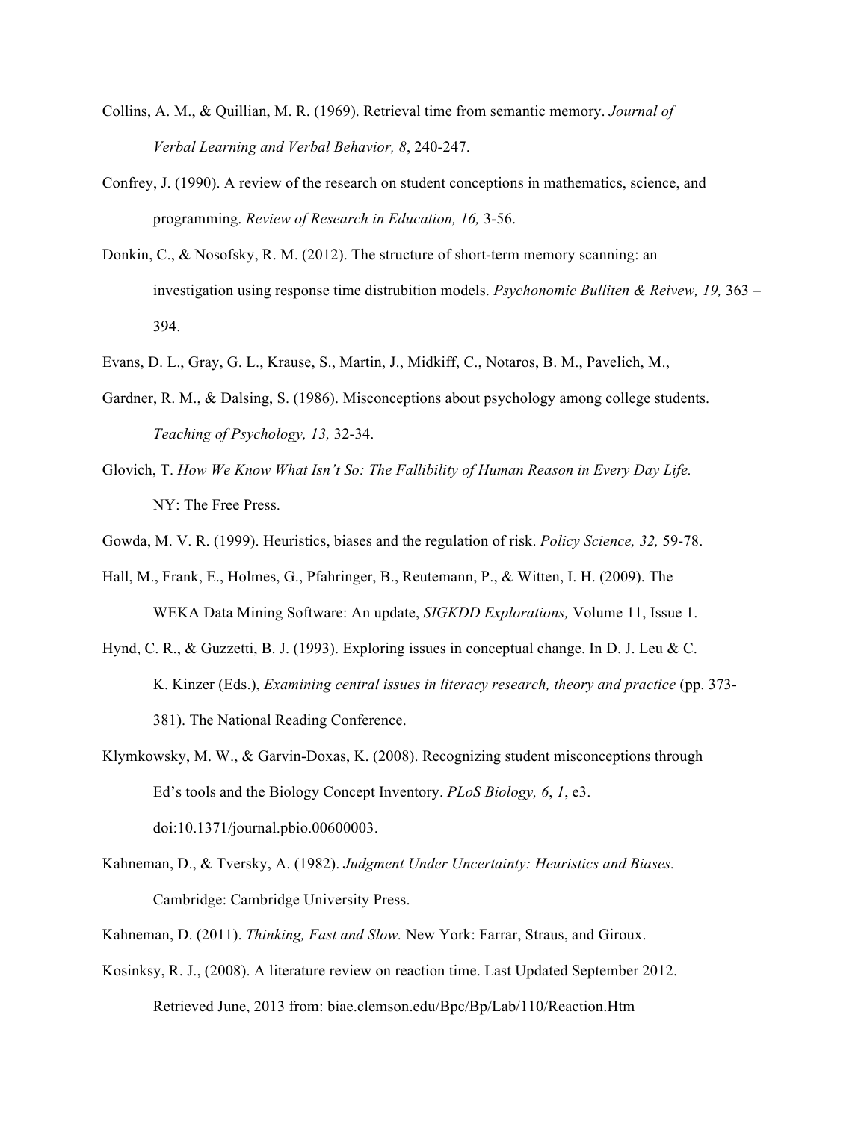- Collins, A. M., & Quillian, M. R. (1969). Retrieval time from semantic memory. *Journal of Verbal Learning and Verbal Behavior, 8*, 240-247.
- Confrey, J. (1990). A review of the research on student conceptions in mathematics, science, and programming. *Review of Research in Education, 16,* 3-56.
- Donkin, C., & Nosofsky, R. M. (2012). The structure of short-term memory scanning: an investigation using response time distrubition models. *Psychonomic Bulliten & Reivew, 19,* 363 – 394.
- Evans, D. L., Gray, G. L., Krause, S., Martin, J., Midkiff, C., Notaros, B. M., Pavelich, M.,
- Gardner, R. M., & Dalsing, S. (1986). Misconceptions about psychology among college students. *Teaching of Psychology, 13,* 32-34.
- Glovich, T. *How We Know What Isn't So: The Fallibility of Human Reason in Every Day Life.*  NY: The Free Press.
- Gowda, M. V. R. (1999). Heuristics, biases and the regulation of risk. *Policy Science, 32,* 59-78.
- Hall, M., Frank, E., Holmes, G., Pfahringer, B., Reutemann, P., & Witten, I. H. (2009). The WEKA Data Mining Software: An update, *SIGKDD Explorations,* Volume 11, Issue 1.
- Hynd, C. R., & Guzzetti, B. J. (1993). Exploring issues in conceptual change. In D. J. Leu & C. K. Kinzer (Eds.), *Examining central issues in literacy research, theory and practice* (pp. 373- 381). The National Reading Conference.
- Klymkowsky, M. W., & Garvin-Doxas, K. (2008). Recognizing student misconceptions through Ed's tools and the Biology Concept Inventory. *PLoS Biology, 6*, *1*, e3. doi:10.1371/journal.pbio.00600003.
- Kahneman, D., & Tversky, A. (1982). *Judgment Under Uncertainty: Heuristics and Biases.*  Cambridge: Cambridge University Press.
- Kahneman, D. (2011). *Thinking, Fast and Slow.* New York: Farrar, Straus, and Giroux.
- Kosinksy, R. J., (2008). A literature review on reaction time. Last Updated September 2012. Retrieved June, 2013 from: biae.clemson.edu/Bpc/Bp/Lab/110/Reaction.Htm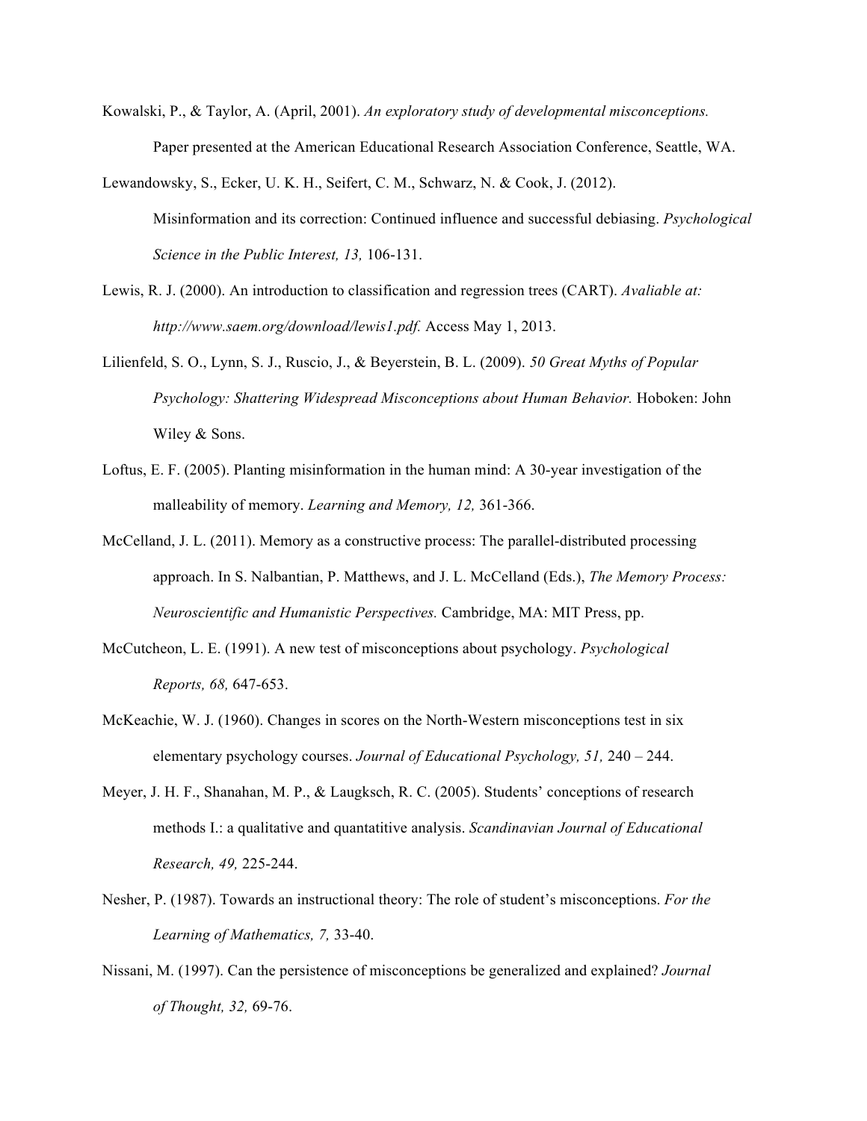- Kowalski, P., & Taylor, A. (April, 2001). *An exploratory study of developmental misconceptions.*  Paper presented at the American Educational Research Association Conference, Seattle, WA.
- Lewandowsky, S., Ecker, U. K. H., Seifert, C. M., Schwarz, N. & Cook, J. (2012). Misinformation and its correction: Continued influence and successful debiasing. *Psychological Science in the Public Interest, 13,* 106-131.
- Lewis, R. J. (2000). An introduction to classification and regression trees (CART). *Avaliable at: http://www.saem.org/download/lewis1.pdf.* Access May 1, 2013.
- Lilienfeld, S. O., Lynn, S. J., Ruscio, J., & Beyerstein, B. L. (2009). *50 Great Myths of Popular Psychology: Shattering Widespread Misconceptions about Human Behavior.* Hoboken: John Wiley & Sons.
- Loftus, E. F. (2005). Planting misinformation in the human mind: A 30-year investigation of the malleability of memory. *Learning and Memory, 12,* 361-366.
- McCelland, J. L. (2011). Memory as a constructive process: The parallel-distributed processing approach. In S. Nalbantian, P. Matthews, and J. L. McCelland (Eds.), *The Memory Process: Neuroscientific and Humanistic Perspectives.* Cambridge, MA: MIT Press, pp.
- McCutcheon, L. E. (1991). A new test of misconceptions about psychology. *Psychological Reports, 68,* 647-653.
- McKeachie, W. J. (1960). Changes in scores on the North-Western misconceptions test in six elementary psychology courses. *Journal of Educational Psychology, 51,* 240 – 244.
- Meyer, J. H. F., Shanahan, M. P., & Laugksch, R. C. (2005). Students' conceptions of research methods I.: a qualitative and quantatitive analysis. *Scandinavian Journal of Educational Research, 49,* 225-244.
- Nesher, P. (1987). Towards an instructional theory: The role of student's misconceptions. *For the Learning of Mathematics, 7,* 33-40.
- Nissani, M. (1997). Can the persistence of misconceptions be generalized and explained? *Journal of Thought, 32,* 69-76.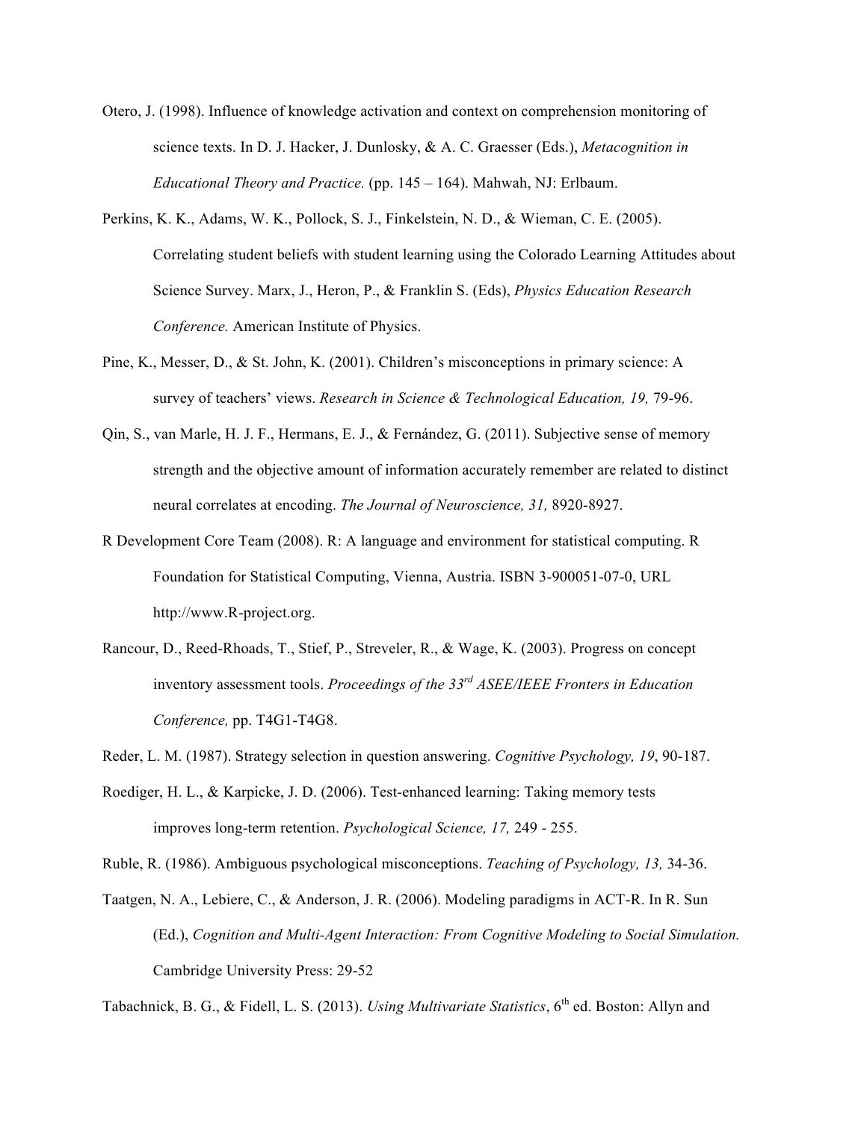- Otero, J. (1998). Influence of knowledge activation and context on comprehension monitoring of science texts. In D. J. Hacker, J. Dunlosky, & A. C. Graesser (Eds.), *Metacognition in Educational Theory and Practice.* (pp. 145 – 164). Mahwah, NJ: Erlbaum.
- Perkins, K. K., Adams, W. K., Pollock, S. J., Finkelstein, N. D., & Wieman, C. E. (2005). Correlating student beliefs with student learning using the Colorado Learning Attitudes about Science Survey. Marx, J., Heron, P., & Franklin S. (Eds), *Physics Education Research Conference.* American Institute of Physics.
- Pine, K., Messer, D., & St. John, K. (2001). Children's misconceptions in primary science: A survey of teachers' views. *Research in Science & Technological Education, 19,* 79-96.
- Qin, S., van Marle, H. J. F., Hermans, E. J., & Fernández, G. (2011). Subjective sense of memory strength and the objective amount of information accurately remember are related to distinct neural correlates at encoding. *The Journal of Neuroscience, 31,* 8920-8927.
- R Development Core Team (2008). R: A language and environment for statistical computing. R Foundation for Statistical Computing, Vienna, Austria. ISBN 3-900051-07-0, URL http://www.R-project.org.
- Rancour, D., Reed-Rhoads, T., Stief, P., Streveler, R., & Wage, K. (2003). Progress on concept inventory assessment tools. *Proceedings of the 33rd ASEE/IEEE Fronters in Education Conference,* pp. T4G1-T4G8.
- Reder, L. M. (1987). Strategy selection in question answering. *Cognitive Psychology, 19*, 90-187.
- Roediger, H. L., & Karpicke, J. D. (2006). Test-enhanced learning: Taking memory tests improves long-term retention. *Psychological Science, 17,* 249 - 255.
- Ruble, R. (1986). Ambiguous psychological misconceptions. *Teaching of Psychology, 13,* 34-36.
- Taatgen, N. A., Lebiere, C., & Anderson, J. R. (2006). Modeling paradigms in ACT-R. In R. Sun (Ed.), *Cognition and Multi-Agent Interaction: From Cognitive Modeling to Social Simulation.*  Cambridge University Press: 29-52

Tabachnick, B. G., & Fidell, L. S. (2013). *Using Multivariate Statistics*, 6<sup>th</sup> ed. Boston: Allyn and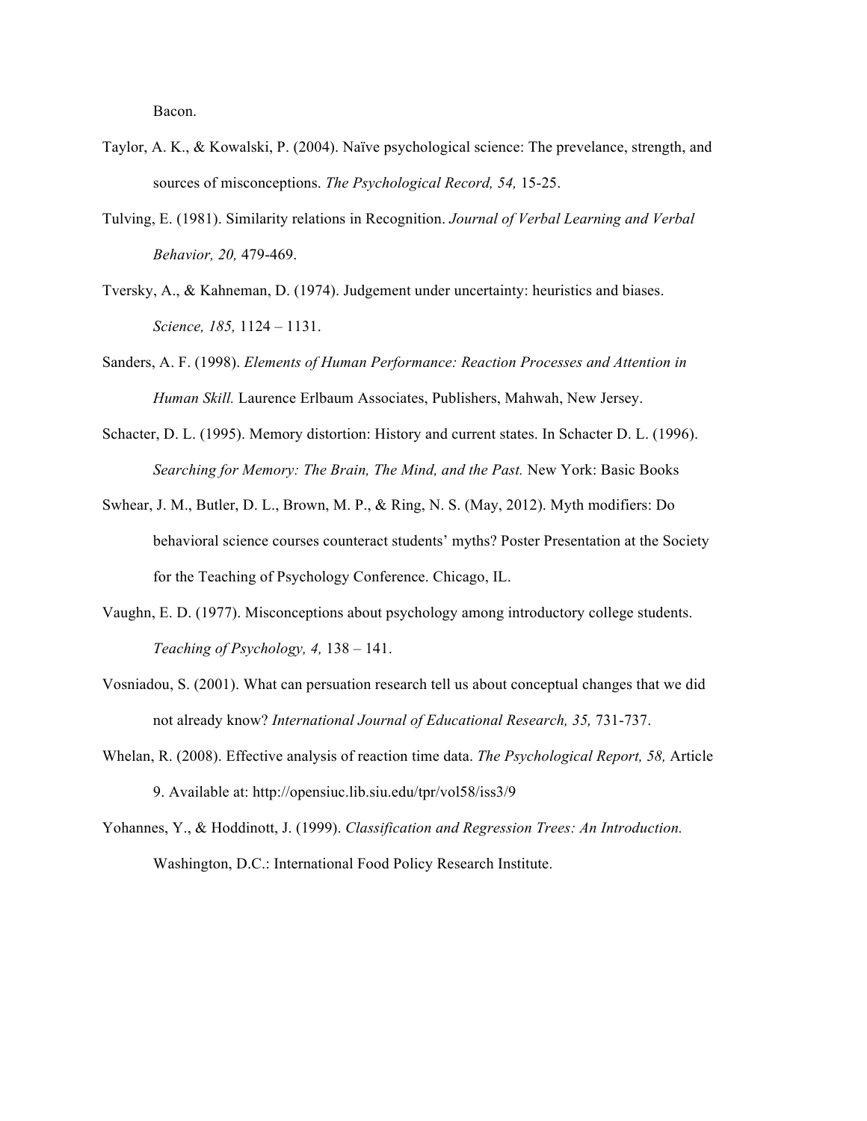Bacon.

- Taylor, A. K., & Kowalski, P. (2004). Naïve psychological science: The prevelance, strength, and sources of misconceptions. *The Psychological Record, 54,* 15-25.
- Tulving, E. (1981). Similarity relations in Recognition. *Journal of Verbal Learning and Verbal Behavior, 20,* 479-469.
- Tversky, A., & Kahneman, D. (1974). Judgement under uncertainty: heuristics and biases. *Science, 185,* 1124 – 1131.
- Sanders, A. F. (1998). *Elements of Human Performance: Reaction Processes and Attention in Human Skill.* Laurence Erlbaum Associates, Publishers, Mahwah, New Jersey.
- Schacter, D. L. (1995). Memory distortion: History and current states. In Schacter D. L. (1996). *Searching for Memory: The Brain, The Mind, and the Past.* New York: Basic Books
- Swhear, J. M., Butler, D. L., Brown, M. P., & Ring, N. S. (May, 2012). Myth modifiers: Do behavioral science courses counteract students' myths? Poster Presentation at the Society for the Teaching of Psychology Conference. Chicago, IL.
- Vaughn, E. D. (1977). Misconceptions about psychology among introductory college students. *Teaching of Psychology, 4,* 138 – 141.
- Vosniadou, S. (2001). What can persuation research tell us about conceptual changes that we did not already know? *International Journal of Educational Research, 35,* 731-737.
- Whelan, R. (2008). Effective analysis of reaction time data. *The Psychological Report, 58,* Article 9. Available at: http://opensiuc.lib.siu.edu/tpr/vol58/iss3/9

Yohannes, Y., & Hoddinott, J. (1999). *Classification and Regression Trees: An Introduction.*  Washington, D.C.: International Food Policy Research Institute.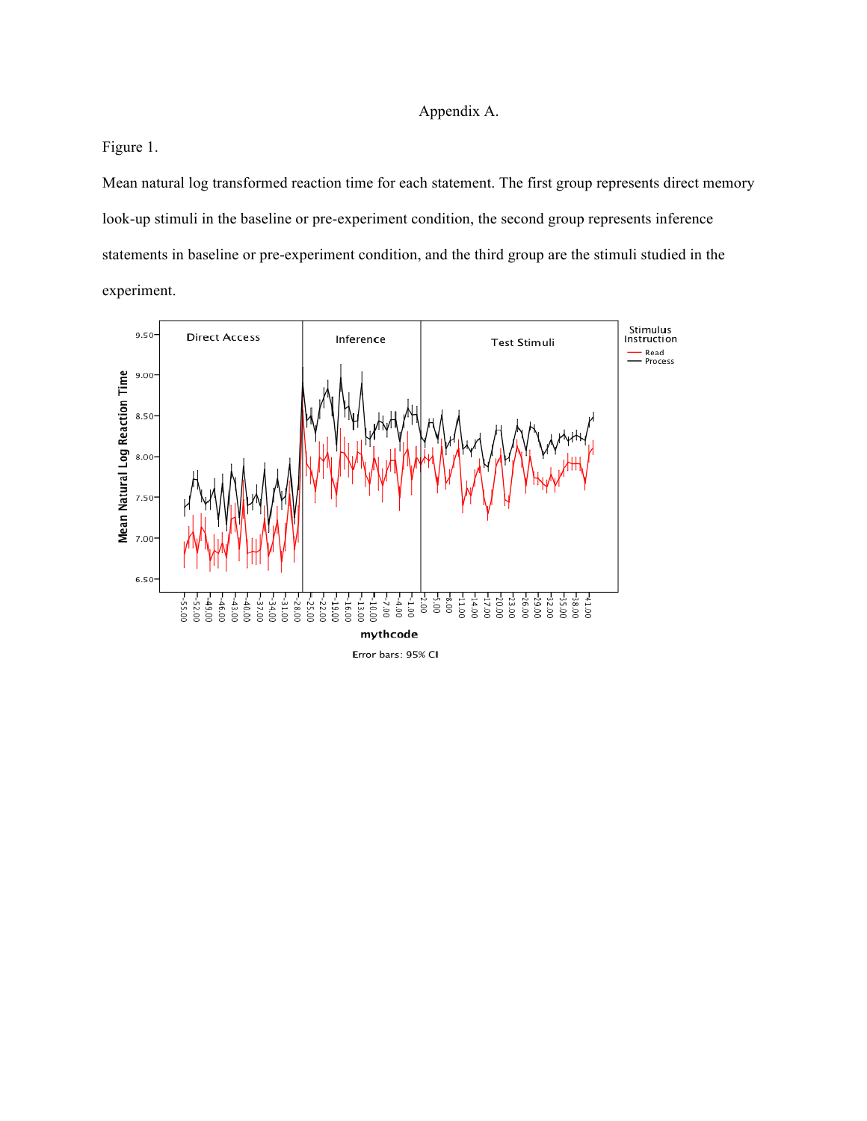## Appendix A.

Figure 1.

Mean natural log transformed reaction time for each statement. The first group represents direct memory look-up stimuli in the baseline or pre-experiment condition, the second group represents inference statements in baseline or pre-experiment condition, and the third group are the stimuli studied in the experiment.



Error bars: 95% CI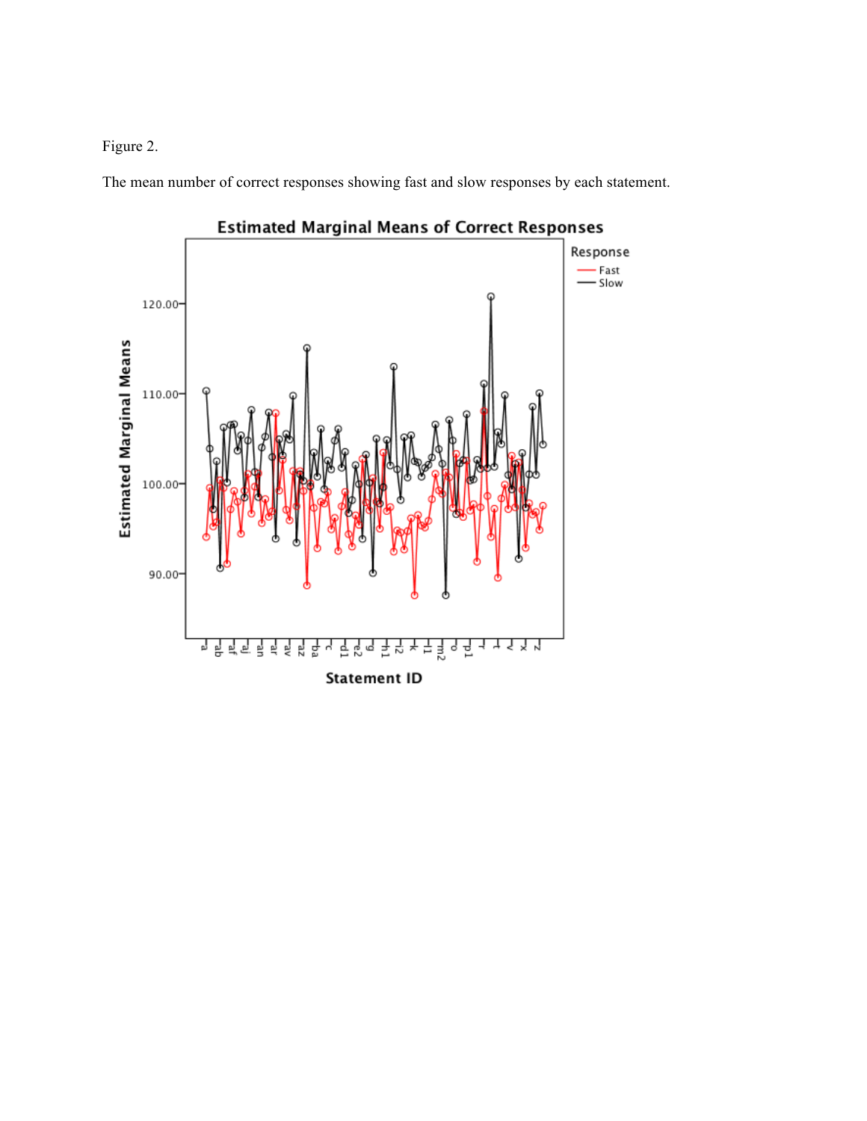# Figure 2.

The mean number of correct responses showing fast and slow responses by each statement.



**Estimated Marginal Means of Correct Responses**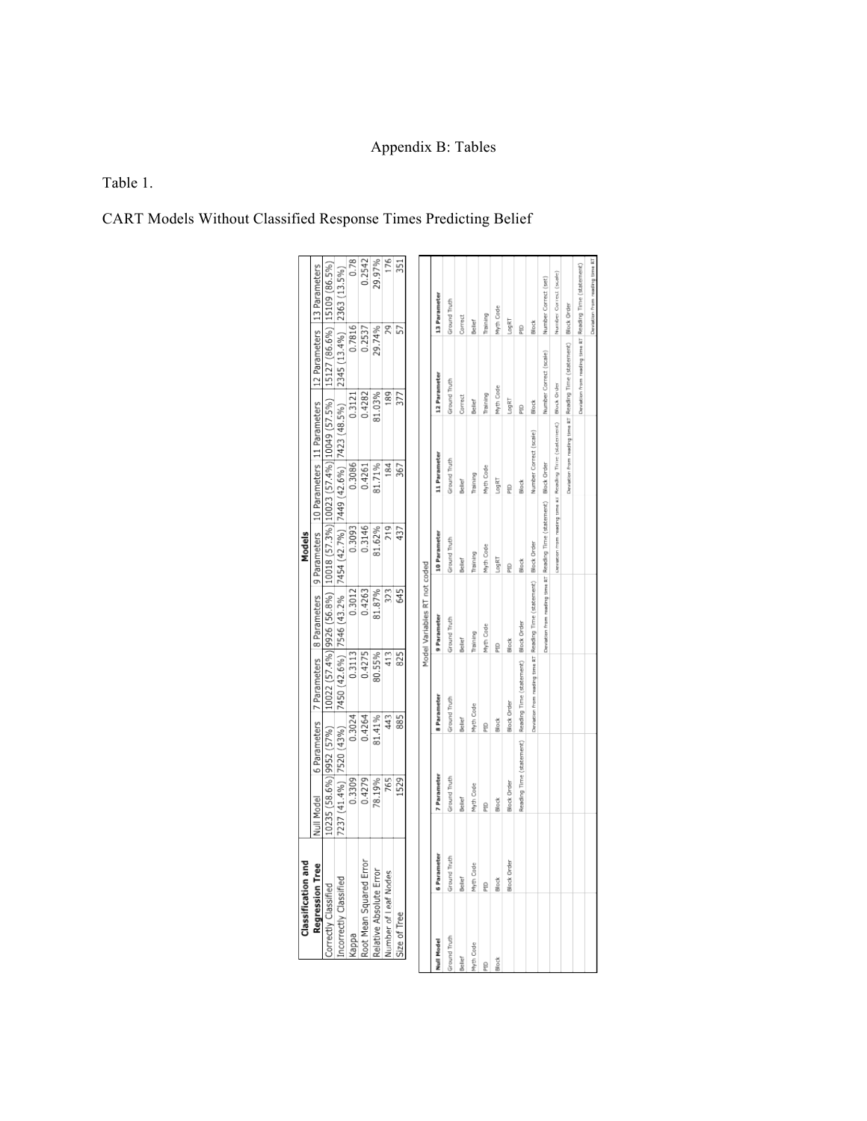# Appendix B: Tables

# Table 1.

CART Models Without Classified Response Times Predicting Belief

|              | <b>Classification and</b> |               |                    |                          |                                        |                                                                                                                               | Models                                       |                                                         |                               |                                                         |                    |                                |  |
|--------------|---------------------------|---------------|--------------------|--------------------------|----------------------------------------|-------------------------------------------------------------------------------------------------------------------------------|----------------------------------------------|---------------------------------------------------------|-------------------------------|---------------------------------------------------------|--------------------|--------------------------------|--|
|              | Regression Tree           |               | Null Model         |                          | 6 Parameters 7 Parameters 8 Parameters |                                                                                                                               | 9 Parameters   10 Parameters   11 Parameters |                                                         |                               |                                                         |                    | 12 Parameters 13 Parameters    |  |
|              | Correctly Classified      |               |                    |                          |                                        | 10235 (58.6%) 9952 (57%)   10022 (57.4%) 9926 (56.8%)  10018 (57.3%) 10023 (57.4%) 10049 (57.5%)  15127 (86.6%) 15109 (86.5%) |                                              |                                                         |                               |                                                         |                    |                                |  |
|              | Incorrectly Classified    |               |                    | 7237 (41.4%) 7520 (43%)  |                                        | 7450 (42.6%) 7546 (43.2% 7454 (42.7%) 7449 (42.6%) 7423 (48.5%)                                                               |                                              |                                                         |                               |                                                         |                    | 2345 (13.4%) 2363 (13.5%)      |  |
|              | kappa                     |               | 0.3309             | 0.3024                   | 0.3113                                 | 0.3012                                                                                                                        | 0.3093                                       | 0.3086                                                  |                               | 0.3121                                                  | 0.7816             | 0.78                           |  |
|              | Root Mean Squared Error   |               | 0.4279             | 0.4264                   | 0.4275                                 | 0.4263                                                                                                                        | 0.3146                                       | 0.4261                                                  |                               | 0.4282                                                  | 0.2537             | 0.2542                         |  |
|              | Relative Absolute Error   |               | 78.19%             | 81.41%                   | 80.55%                                 | 81.87%                                                                                                                        | 81.62%                                       | 81.71%                                                  |                               | 81.03%                                                  | 29.74%             | 29.97%                         |  |
|              | Number of Leaf Nodes      |               | 765                | 443                      | 413                                    | 323                                                                                                                           | 219                                          | 184                                                     |                               | 189                                                     | 29                 | 176                            |  |
|              | Size of Tree              |               | 1529               | 885                      | 825                                    | 545                                                                                                                           | 437                                          | 367                                                     |                               | 377                                                     | 57                 | 351                            |  |
|              |                           |               |                    |                          |                                        | Model Variables RT not coded                                                                                                  |                                              |                                                         |                               |                                                         |                    |                                |  |
|              |                           |               |                    |                          |                                        |                                                                                                                               |                                              |                                                         |                               |                                                         |                    |                                |  |
| Null Model   |                           | 6 Parameter   | 7 Parameter        |                          | 8 Parameter                            | 9 Parameter                                                                                                                   | <b>10 Parameter</b>                          | 11 Parameter                                            |                               | 12 Parameter                                            |                    | 13 Parameter                   |  |
| Ground Truth |                           | Ground Truth  | Ground Truth       |                          | Ground Truth                           | <b>Sround Truth</b>                                                                                                           | <b>Sround Truth</b>                          | Ground Truth                                            |                               | Ground Truth                                            |                    | Ground Truth                   |  |
| Bellet       |                           | <b>Beller</b> | Bellef             | Bellef                   |                                        | Beller <sup>e</sup>                                                                                                           | <b>Seller</b>                                | Bellef                                                  |                               | Correct                                                 | Correct            |                                |  |
| Myth Cade    |                           | Myth Code     | Myth Cade          |                          | Myth Cade                              | haining                                                                                                                       | paining                                      | haining                                                 |                               | Bellef                                                  | Beller             |                                |  |
| g            |                           | g             | è                  | ę                        |                                        | hyth Cade                                                                                                                     | Myth Code                                    | Myth Code                                               |                               | raining                                                 | raining            |                                |  |
| Block        |                           | Block         | Block              | Block                    |                                        | ğ                                                                                                                             | LingRT                                       | LagRT                                                   |                               | Wyth Code                                               | Myth Code          |                                |  |
|              |                           | Block Order   | <b>Slock Order</b> |                          | <b>Block Order</b>                     | Block                                                                                                                         | ě                                            | ġ                                                       |                               | LogRT                                                   | LogRT              |                                |  |
|              |                           |               |                    | Reading Time (statement) | Reading Time (statement)               | <b>Block Order</b>                                                                                                            | Block                                        | Block                                                   |                               | 믍                                                       | 믍                  |                                |  |
|              |                           |               |                    |                          |                                        | Daviation from reading time RT Reading Time (statement)                                                                       | <b>Block Order</b>                           |                                                         | <b>Number Correct (scale)</b> | Block                                                   | Block              |                                |  |
|              |                           |               |                    |                          |                                        | Daviation from reading time RT Reading Time (statement)                                                                       |                                              | <b>Block Order</b>                                      |                               | Number Correct (scale)                                  |                    | Number Correct (set)           |  |
|              |                           |               |                    |                          |                                        |                                                                                                                               |                                              | Deviation from needing time RT Reading Time (statement) |                               | Block Order                                             |                    | Number Correct (scale)         |  |
|              |                           |               |                    |                          |                                        |                                                                                                                               |                                              |                                                         |                               | Deviation from needing time RT Reading Time (statement) | <b>Block Order</b> |                                |  |
|              |                           |               |                    |                          |                                        |                                                                                                                               |                                              |                                                         |                               | Deviation from neating time RT Reading Time (statement) |                    |                                |  |
|              |                           |               |                    |                          |                                        |                                                                                                                               |                                              |                                                         |                               |                                                         |                    | Deviation from needing time RT |  |
|              |                           |               |                    |                          |                                        |                                                                                                                               |                                              |                                                         |                               |                                                         |                    |                                |  |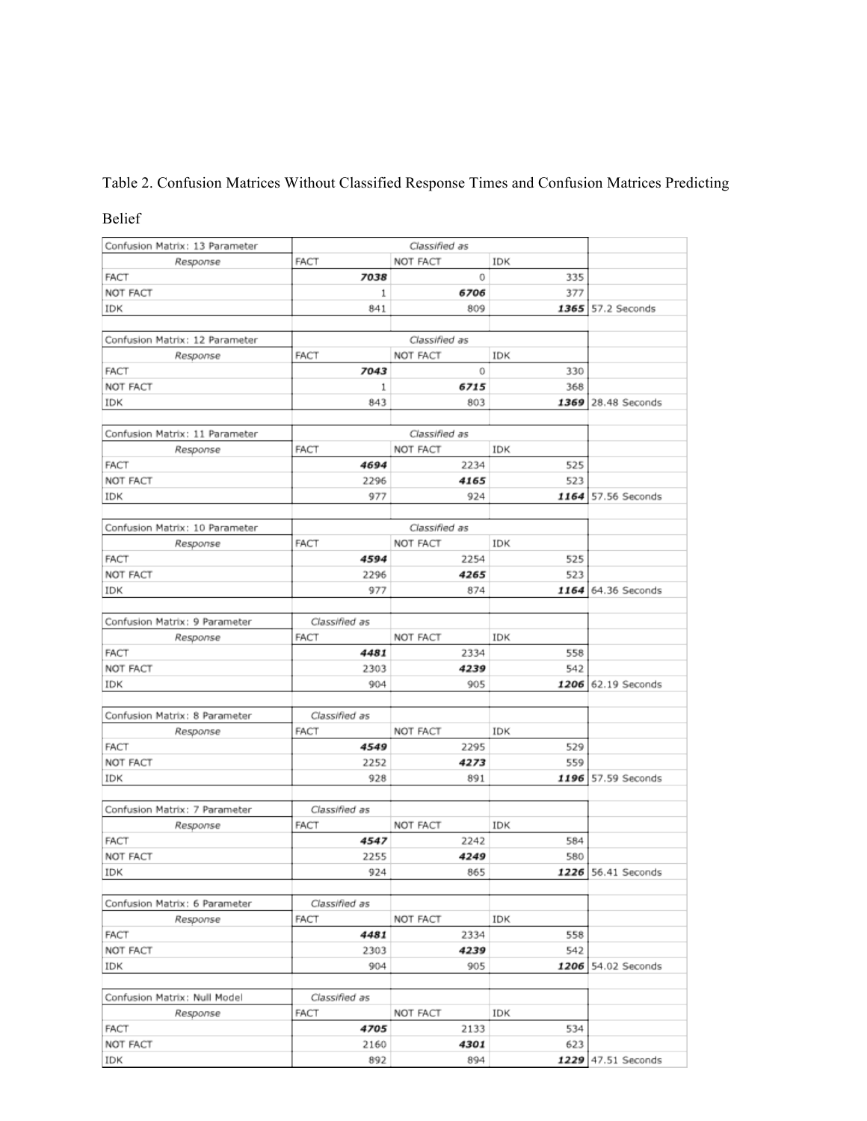# Table 2. Confusion Matrices Without Classified Response Times and Confusion Matrices Predicting

## Belief

| Confusion Matrix: 13 Parameter<br>Classified as |                                                                                                                               |                                                                                                                                           |                                                                                                                                          |  |  |
|-------------------------------------------------|-------------------------------------------------------------------------------------------------------------------------------|-------------------------------------------------------------------------------------------------------------------------------------------|------------------------------------------------------------------------------------------------------------------------------------------|--|--|
| <b>FACT</b>                                     | NOT FACT                                                                                                                      | IDK                                                                                                                                       |                                                                                                                                          |  |  |
| 7038                                            | 0                                                                                                                             | 335                                                                                                                                       |                                                                                                                                          |  |  |
| 1                                               | 6706                                                                                                                          | 377                                                                                                                                       |                                                                                                                                          |  |  |
| 841                                             | 809                                                                                                                           |                                                                                                                                           | 57.2 Seconds                                                                                                                             |  |  |
|                                                 | Classified as                                                                                                                 |                                                                                                                                           |                                                                                                                                          |  |  |
|                                                 |                                                                                                                               |                                                                                                                                           |                                                                                                                                          |  |  |
|                                                 |                                                                                                                               |                                                                                                                                           |                                                                                                                                          |  |  |
|                                                 |                                                                                                                               |                                                                                                                                           |                                                                                                                                          |  |  |
| 843                                             | 803                                                                                                                           |                                                                                                                                           | 28.48 Seconds                                                                                                                            |  |  |
|                                                 | Classified as                                                                                                                 |                                                                                                                                           |                                                                                                                                          |  |  |
| <b>FACT</b>                                     | NOT FACT                                                                                                                      | IDK                                                                                                                                       |                                                                                                                                          |  |  |
| 4694                                            | 2234                                                                                                                          | 525                                                                                                                                       |                                                                                                                                          |  |  |
| 2296                                            | 4165                                                                                                                          | 523                                                                                                                                       |                                                                                                                                          |  |  |
| 977                                             | 924                                                                                                                           |                                                                                                                                           | 57.56 Seconds                                                                                                                            |  |  |
|                                                 |                                                                                                                               |                                                                                                                                           |                                                                                                                                          |  |  |
|                                                 |                                                                                                                               |                                                                                                                                           |                                                                                                                                          |  |  |
|                                                 |                                                                                                                               |                                                                                                                                           |                                                                                                                                          |  |  |
|                                                 |                                                                                                                               |                                                                                                                                           |                                                                                                                                          |  |  |
|                                                 |                                                                                                                               |                                                                                                                                           |                                                                                                                                          |  |  |
|                                                 |                                                                                                                               |                                                                                                                                           | 64.36 Seconds                                                                                                                            |  |  |
| Classified as                                   |                                                                                                                               |                                                                                                                                           |                                                                                                                                          |  |  |
|                                                 |                                                                                                                               |                                                                                                                                           |                                                                                                                                          |  |  |
|                                                 |                                                                                                                               |                                                                                                                                           |                                                                                                                                          |  |  |
| 2303                                            |                                                                                                                               |                                                                                                                                           |                                                                                                                                          |  |  |
| 904                                             | 905                                                                                                                           |                                                                                                                                           | 62.19 Seconds                                                                                                                            |  |  |
| Classified as                                   |                                                                                                                               |                                                                                                                                           |                                                                                                                                          |  |  |
| FACT                                            | NOT FACT                                                                                                                      | IDK                                                                                                                                       |                                                                                                                                          |  |  |
| 4549                                            | 2295                                                                                                                          | 529                                                                                                                                       |                                                                                                                                          |  |  |
| 2252                                            | 4273                                                                                                                          | 559                                                                                                                                       |                                                                                                                                          |  |  |
| 928                                             | 891                                                                                                                           |                                                                                                                                           | 57.59 Seconds                                                                                                                            |  |  |
| Classified as                                   |                                                                                                                               |                                                                                                                                           |                                                                                                                                          |  |  |
| <b>FACT</b>                                     | NOT FACT                                                                                                                      | IDK                                                                                                                                       |                                                                                                                                          |  |  |
| 4547                                            | 2242                                                                                                                          | 584                                                                                                                                       |                                                                                                                                          |  |  |
| 2255                                            | 4249                                                                                                                          | 580                                                                                                                                       |                                                                                                                                          |  |  |
| 924                                             | 865                                                                                                                           |                                                                                                                                           | 1226 56.41 Seconds                                                                                                                       |  |  |
| Classified as                                   |                                                                                                                               |                                                                                                                                           |                                                                                                                                          |  |  |
| FACT                                            | NOT FACT                                                                                                                      | IDK                                                                                                                                       |                                                                                                                                          |  |  |
| 4481                                            | 2334                                                                                                                          | 558                                                                                                                                       |                                                                                                                                          |  |  |
| 2303                                            | 4239                                                                                                                          | 542                                                                                                                                       |                                                                                                                                          |  |  |
| 904                                             | 905                                                                                                                           |                                                                                                                                           | 54.02 Seconds                                                                                                                            |  |  |
|                                                 |                                                                                                                               |                                                                                                                                           |                                                                                                                                          |  |  |
|                                                 |                                                                                                                               |                                                                                                                                           |                                                                                                                                          |  |  |
|                                                 |                                                                                                                               |                                                                                                                                           |                                                                                                                                          |  |  |
|                                                 |                                                                                                                               |                                                                                                                                           |                                                                                                                                          |  |  |
| 892                                             | 894                                                                                                                           |                                                                                                                                           | 1229 47.51 Seconds                                                                                                                       |  |  |
|                                                 | <b>FACT</b><br>7043<br>1<br><b>FACT</b><br>4594<br>2296<br>977<br><b>FACT</b><br>4481<br>Classified as<br><b>FACT</b><br>2160 | NOT FACT<br>0<br>6715<br>Classified as<br>NOT FACT<br>2254<br>4265<br>874<br>NOT FACT<br>2334<br>4239<br>NOT FACT<br>4705<br>2133<br>4301 | 1365<br>IDK<br>330<br>368<br>1369<br>1164<br>IDK<br>525<br>523<br>1164<br>IDK<br>558<br>542<br>1206<br>1196<br>1206<br>IDK<br>534<br>623 |  |  |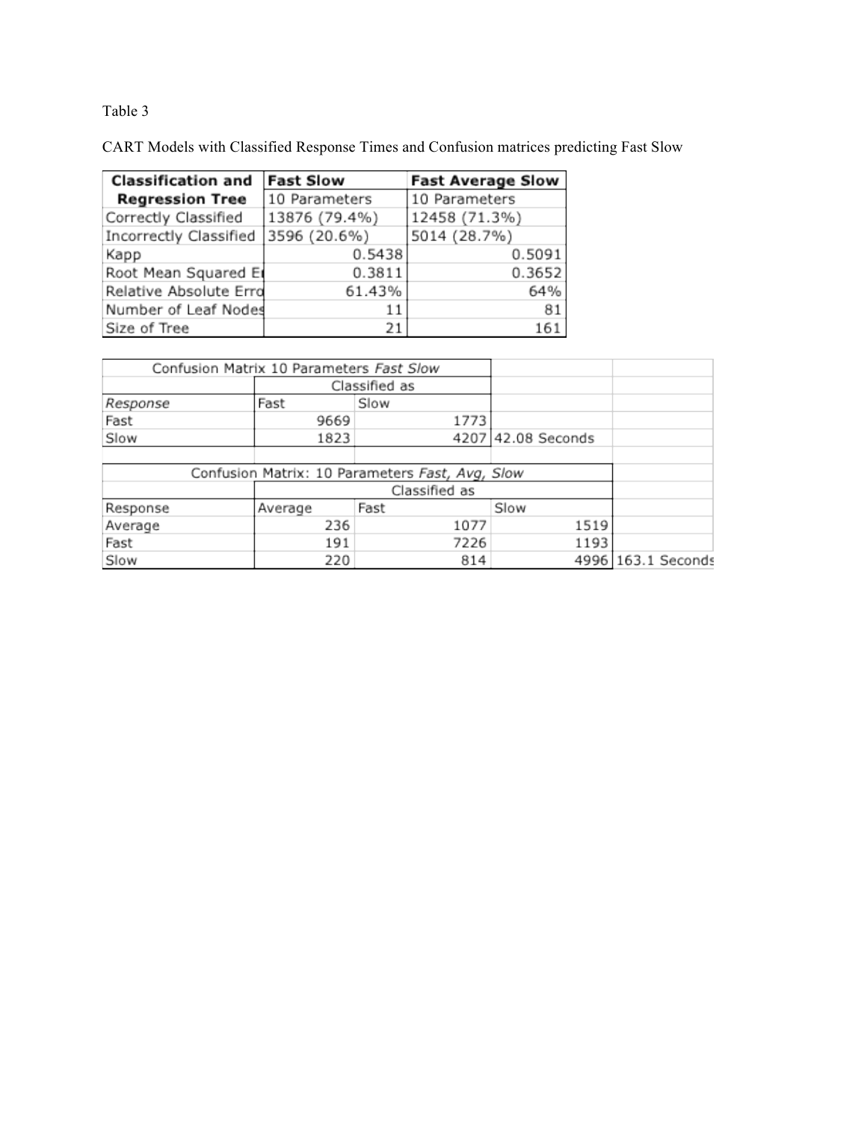# Table 3

CART Models with Classified Response Times and Confusion matrices predicting Fast Slow

| <b>Classification and</b> | <b>Fast Slow</b> | <b>Fast Average Slow</b> |
|---------------------------|------------------|--------------------------|
| <b>Regression Tree</b>    | 10 Parameters    | 10 Parameters            |
| Correctly Classified      | 13876 (79.4%)    | 12458 (71.3%)            |
| Incorrectly Classified    | 3596 (20.6%)     | 5014 (28.7%)             |
| Kapp                      | 0.5438           | 0.5091                   |
| Root Mean Squared Er      | 0.3811           | 0.3652                   |
| Relative Absolute Erro    | 61.43%           | 64%                      |
| Number of Leaf Nodes      | 11               | 81                       |
| Size of Tree              | 21               | 161                      |

| Confusion Matrix 10 Parameters Fast Slow        |         |               |                    |                    |
|-------------------------------------------------|---------|---------------|--------------------|--------------------|
|                                                 |         | Classified as |                    |                    |
| Response                                        | Fast    | Slow          |                    |                    |
| Fast                                            | 9669    | 1773          |                    |                    |
| Slow                                            | 1823    |               | 4207 42.08 Seconds |                    |
|                                                 |         |               |                    |                    |
| Confusion Matrix: 10 Parameters Fast, Avg, Slow |         |               |                    |                    |
|                                                 |         |               |                    |                    |
| Response                                        | Average |               |                    |                    |
| Average                                         | 236     | 1077          | 1519               |                    |
| Fast                                            | 191     | 7226          | 1193               |                    |
| Slow                                            | 220     | 814           |                    | 4996 163.1 Seconds |